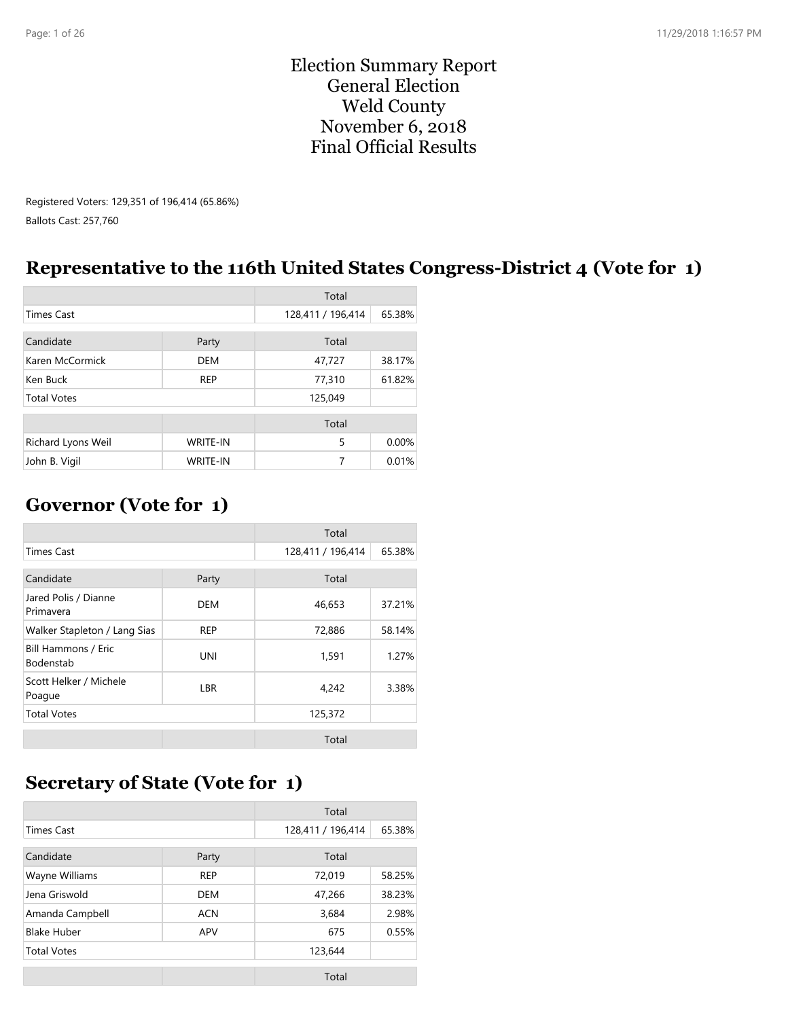#### Election Summary Report General Election Weld County November 6, 2018 Final Official Results

Registered Voters: 129,351 of 196,414 (65.86%) Ballots Cast: 257,760

### **Representative to the 116th United States Congress-District 4 (Vote for 1)**

|                    |                 | Total             |        |
|--------------------|-----------------|-------------------|--------|
| <b>Times Cast</b>  |                 | 128,411 / 196,414 | 65.38% |
| Candidate          | Party           | Total             |        |
| Karen McCormick    | <b>DEM</b>      | 47,727            | 38.17% |
| Ken Buck           | <b>REP</b>      | 77,310            | 61.82% |
| <b>Total Votes</b> |                 | 125,049           |        |
|                    |                 | Total             |        |
| Richard Lyons Weil | <b>WRITE-IN</b> | 5                 | 0.00%  |
| John B. Vigil      | <b>WRITE-IN</b> | 7                 | 0.01%  |

### **Governor (Vote for 1)**

|                                         |            | Total             |        |
|-----------------------------------------|------------|-------------------|--------|
| <b>Times Cast</b>                       |            | 128,411 / 196,414 | 65.38% |
| Candidate<br>Party                      |            | Total             |        |
| Jared Polis / Dianne<br>Primavera       | DEM        | 46,653            | 37.21% |
| Walker Stapleton / Lang Sias            | <b>REP</b> | 72,886            | 58.14% |
| Bill Hammons / Eric<br><b>Bodenstab</b> | <b>UNI</b> | 1,591             | 1.27%  |
| Scott Helker / Michele<br>Poague        | LBR        | 4,242             | 3.38%  |
| <b>Total Votes</b>                      |            | 125,372           |        |
|                                         |            | Total             |        |

### **Secretary of State (Vote for 1)**

|                    |            | Total             |        |
|--------------------|------------|-------------------|--------|
| <b>Times Cast</b>  |            | 128,411 / 196,414 | 65.38% |
| Candidate          | Party      | Total             |        |
| Wayne Williams     | <b>REP</b> | 72,019            | 58.25% |
| Jena Griswold      | <b>DEM</b> | 47,266            | 38.23% |
| Amanda Campbell    | <b>ACN</b> | 3,684             | 2.98%  |
| <b>Blake Huber</b> | APV        | 675               | 0.55%  |
| <b>Total Votes</b> |            | 123,644           |        |
|                    |            | $T0$ tal          |        |

Total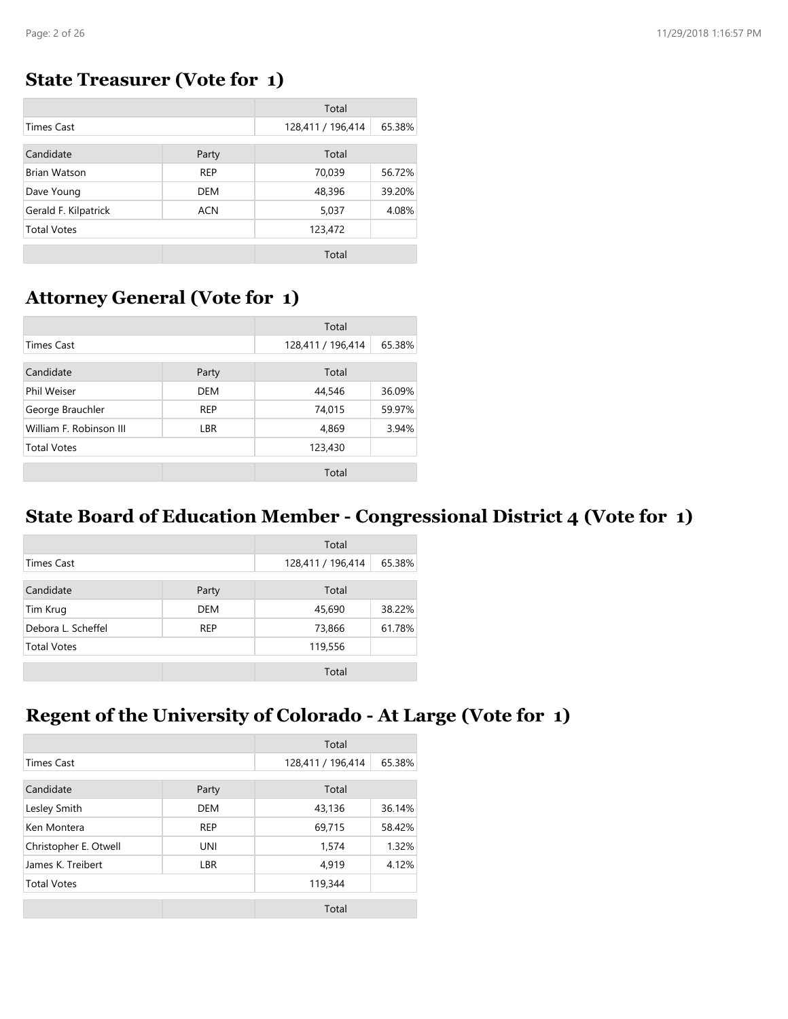#### **State Treasurer (Vote for 1)**

|                      |            | Total             |        |
|----------------------|------------|-------------------|--------|
| <b>Times Cast</b>    |            | 128,411 / 196,414 | 65.38% |
| Candidate            | Party      | Total             |        |
| <b>Brian Watson</b>  | <b>REP</b> | 70,039            | 56.72% |
| Dave Young           | <b>DEM</b> | 48,396            | 39.20% |
| Gerald F. Kilpatrick | <b>ACN</b> | 5,037             | 4.08%  |
| <b>Total Votes</b>   |            | 123,472           |        |
|                      |            | Total             |        |

#### **Attorney General (Vote for 1)**

|                         |            | Total             |        |
|-------------------------|------------|-------------------|--------|
| <b>Times Cast</b>       |            | 128,411 / 196,414 | 65.38% |
| Candidate               | Party      | Total             |        |
| Phil Weiser             | <b>DEM</b> | 44,546            | 36.09% |
| George Brauchler        | <b>REP</b> | 74,015            | 59.97% |
| William F. Robinson III | <b>LBR</b> | 4,869             | 3.94%  |
| <b>Total Votes</b>      |            | 123,430           |        |
|                         |            | Total             |        |

### **State Board of Education Member - Congressional District 4 (Vote for 1)**

|                    |            | Total             |        |
|--------------------|------------|-------------------|--------|
| Times Cast         |            | 128,411 / 196,414 | 65.38% |
| Candidate<br>Party |            | Total             |        |
| Tim Krug           | DEM        | 45,690            | 38.22% |
| Debora L. Scheffel | <b>REP</b> | 73,866            | 61.78% |
| <b>Total Votes</b> |            | 119,556           |        |
|                    |            | Total             |        |

### **Regent of the University of Colorado - At Large (Vote for 1)**

|                       |            | Total             |        |
|-----------------------|------------|-------------------|--------|
| <b>Times Cast</b>     |            | 128,411 / 196,414 | 65.38% |
| Candidate             | Party      | Total             |        |
| Lesley Smith          | <b>DEM</b> | 43,136            | 36.14% |
| Ken Montera           | <b>REP</b> | 69,715            | 58.42% |
| Christopher E. Otwell | <b>UNI</b> | 1,574             | 1.32%  |
| James K. Treibert     | <b>LBR</b> | 4,919             | 4.12%  |
| <b>Total Votes</b>    |            | 119,344           |        |
|                       |            | Total             |        |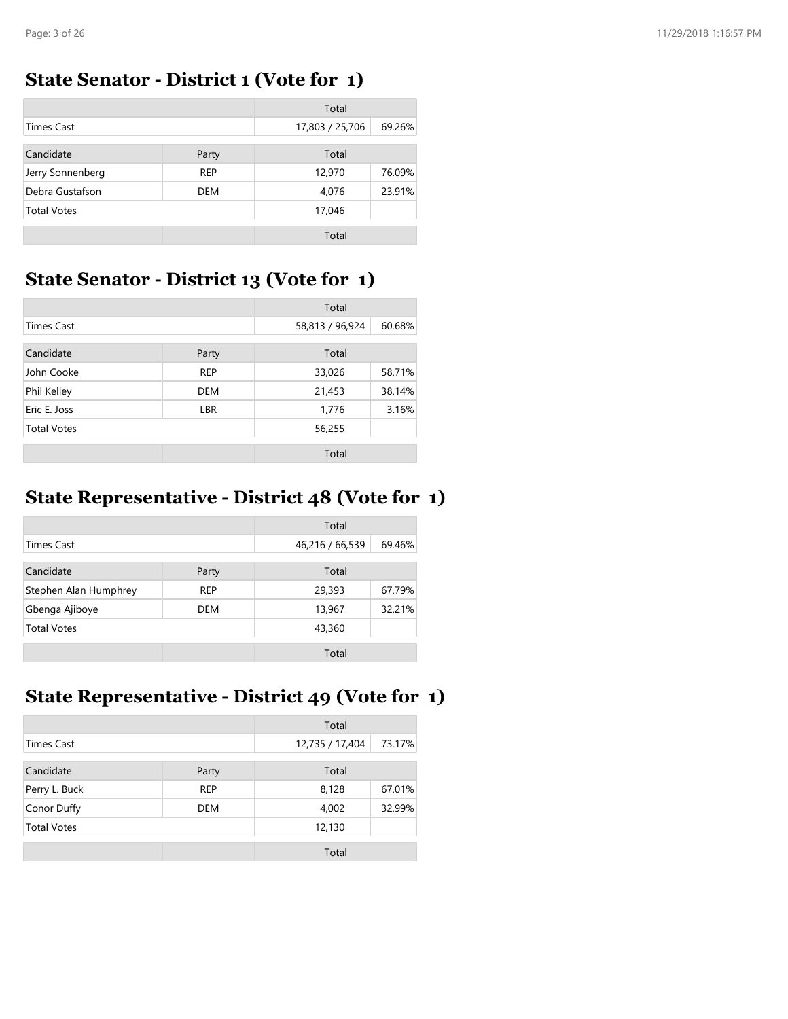#### **State Senator - District 1 (Vote for 1)**

|                    |            | Total           |        |
|--------------------|------------|-----------------|--------|
| <b>Times Cast</b>  |            | 17,803 / 25,706 | 69.26% |
| Candidate          | Party      | Total           |        |
| Jerry Sonnenberg   | <b>REP</b> | 12,970          | 76.09% |
| Debra Gustafson    | <b>DEM</b> | 4,076           | 23.91% |
| <b>Total Votes</b> |            | 17,046          |        |
|                    |            | Total           |        |

### **State Senator - District 13 (Vote for 1)**

|                    |            | Total           |        |
|--------------------|------------|-----------------|--------|
| <b>Times Cast</b>  |            | 58,813 / 96,924 | 60.68% |
| Candidate          | Party      | Total           |        |
| John Cooke         | <b>REP</b> | 33,026          | 58.71% |
| Phil Kelley        | <b>DEM</b> | 21,453          | 38.14% |
| Eric E. Joss       | <b>LBR</b> | 1,776           | 3.16%  |
| <b>Total Votes</b> |            | 56,255          |        |
|                    |            | Total           |        |

### **State Representative - District 48 (Vote for 1)**

|                       |            | Total           |        |
|-----------------------|------------|-----------------|--------|
| Times Cast            |            | 46,216 / 66,539 | 69.46% |
| Candidate             | Party      | Total           |        |
| Stephen Alan Humphrey | <b>REP</b> | 29,393          | 67.79% |
| Gbenga Ajiboye        | DEM        | 13,967          | 32.21% |
| <b>Total Votes</b>    |            | 43,360          |        |
|                       |            | Total           |        |

## **State Representative - District 49 (Vote for 1)**

|                    |            | Total           |        |
|--------------------|------------|-----------------|--------|
| <b>Times Cast</b>  |            | 12,735 / 17,404 | 73.17% |
| Candidate          | Party      | Total           |        |
| Perry L. Buck      | <b>REP</b> | 8,128           | 67.01% |
| Conor Duffy        | <b>DEM</b> | 4,002           | 32.99% |
| <b>Total Votes</b> |            | 12,130          |        |
|                    |            | Total           |        |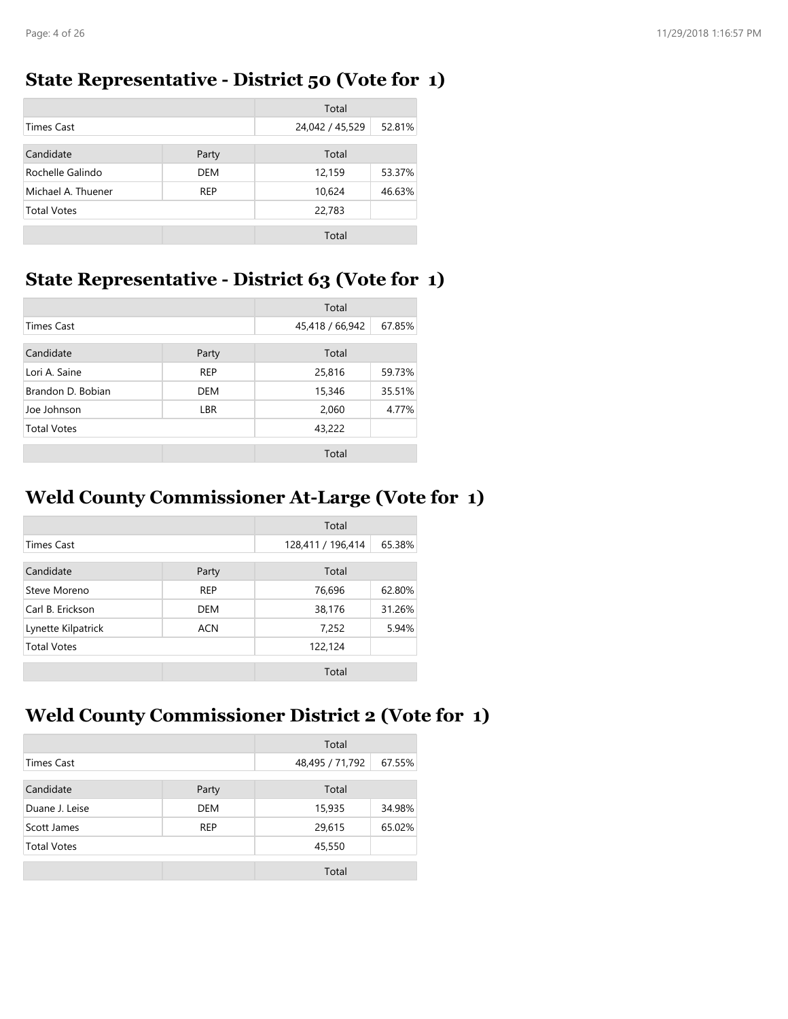#### **State Representative - District 50 (Vote for 1)**

|                    |            | Total           |        |
|--------------------|------------|-----------------|--------|
| <b>Times Cast</b>  |            | 24,042 / 45,529 | 52.81% |
| Candidate          | Party      | Total           |        |
| Rochelle Galindo   | <b>DEM</b> | 12,159          | 53.37% |
| Michael A. Thuener | <b>REP</b> | 10,624          | 46.63% |
| <b>Total Votes</b> |            | 22,783          |        |
|                    |            | Total           |        |

### **State Representative - District 63 (Vote for 1)**

|                    |            | Total           |        |
|--------------------|------------|-----------------|--------|
| <b>Times Cast</b>  |            | 45,418 / 66,942 | 67.85% |
| Candidate          | Party      | Total           |        |
| Lori A. Saine      | <b>REP</b> | 25,816          | 59.73% |
| Brandon D. Bobian  | <b>DEM</b> | 15,346          | 35.51% |
| Joe Johnson        | <b>LBR</b> | 2,060           | 4.77%  |
| <b>Total Votes</b> |            | 43,222          |        |
|                    |            | Total           |        |

### **Weld County Commissioner At-Large (Vote for 1)**

|                    |            | Total             |        |
|--------------------|------------|-------------------|--------|
| <b>Times Cast</b>  |            | 128,411 / 196,414 | 65.38% |
| Candidate          | Party      | Total             |        |
| Steve Moreno       | <b>REP</b> | 76,696            | 62.80% |
| Carl B. Erickson   | <b>DEM</b> | 38,176            | 31.26% |
| Lynette Kilpatrick | <b>ACN</b> | 7,252             | 5.94%  |
| <b>Total Votes</b> |            | 122,124           |        |
|                    |            | Total             |        |

### **Weld County Commissioner District 2 (Vote for 1)**

|                    |            | Total           |        |
|--------------------|------------|-----------------|--------|
| Times Cast         |            | 48,495 / 71,792 | 67.55% |
| Candidate<br>Party |            | Total           |        |
| Duane J. Leise     | <b>DEM</b> | 15,935          | 34.98% |
| Scott James        | <b>REP</b> | 29,615          | 65.02% |
| <b>Total Votes</b> |            | 45,550          |        |
|                    |            | Total           |        |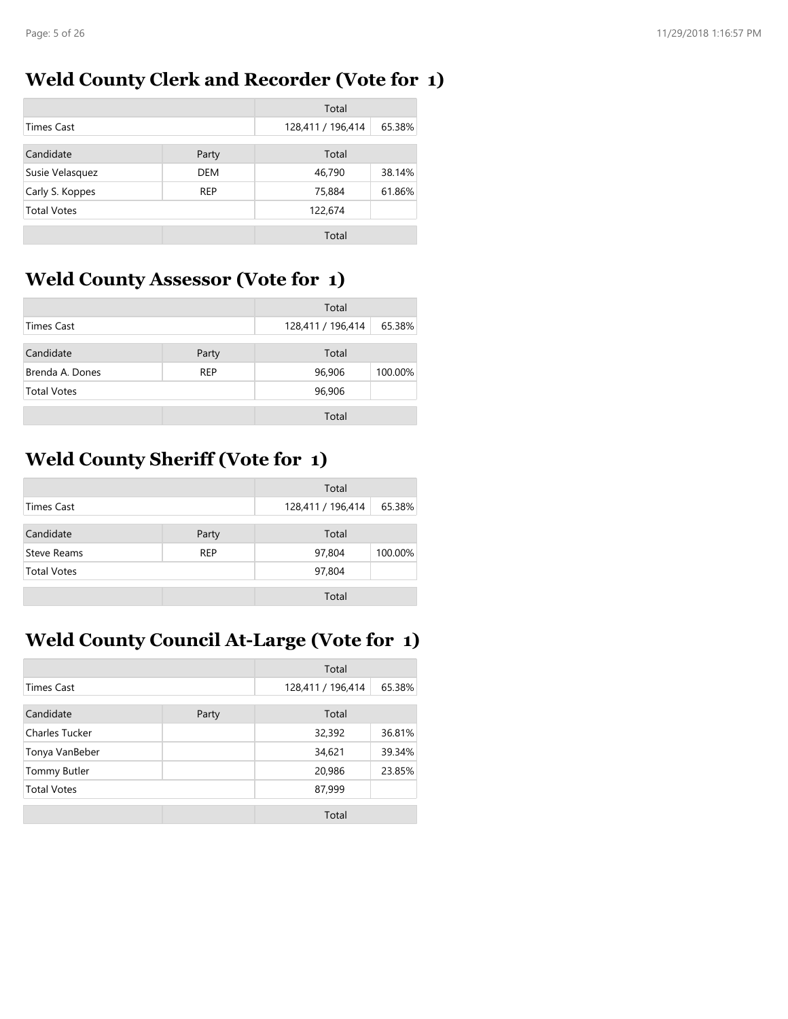### **Weld County Clerk and Recorder (Vote for 1)**

|                    |            | Total             |        |
|--------------------|------------|-------------------|--------|
| <b>Times Cast</b>  |            | 128,411 / 196,414 | 65.38% |
| Candidate          | Party      | Total             |        |
| Susie Velasquez    | <b>DEM</b> | 46,790            | 38.14% |
| Carly S. Koppes    | <b>REP</b> | 75,884            | 61.86% |
| <b>Total Votes</b> |            | 122,674           |        |
|                    |            | Total             |        |

## **Weld County Assessor (Vote for 1)**

|                    |            | Total             |         |
|--------------------|------------|-------------------|---------|
| <b>Times Cast</b>  |            | 128,411 / 196,414 | 65.38%  |
| Candidate          | Party      | Total             |         |
| Brenda A. Dones    | <b>REP</b> | 96,906            | 100.00% |
| <b>Total Votes</b> |            | 96,906            |         |
|                    |            | Total             |         |

### **Weld County Sheriff (Vote for 1)**

| Total              |                |                   |         |
|--------------------|----------------|-------------------|---------|
| Times Cast         |                | 128,411 / 196,414 | 65.38%  |
| Candidate          | Total<br>Party |                   |         |
| Steve Reams        | <b>REP</b>     | 97,804            | 100.00% |
| <b>Total Votes</b> |                | 97,804            |         |
|                    |                | Total             |         |

## **Weld County Council At-Large (Vote for 1)**

|                     |       | Total             |        |
|---------------------|-------|-------------------|--------|
| <b>Times Cast</b>   |       | 128,411 / 196,414 | 65.38% |
| Candidate           | Party | Total             |        |
| Charles Tucker      |       | 32,392            | 36.81% |
| Tonya VanBeber      |       | 34,621            | 39.34% |
| <b>Tommy Butler</b> |       | 20,986            | 23.85% |
| <b>Total Votes</b>  |       | 87,999            |        |
|                     |       | Total             |        |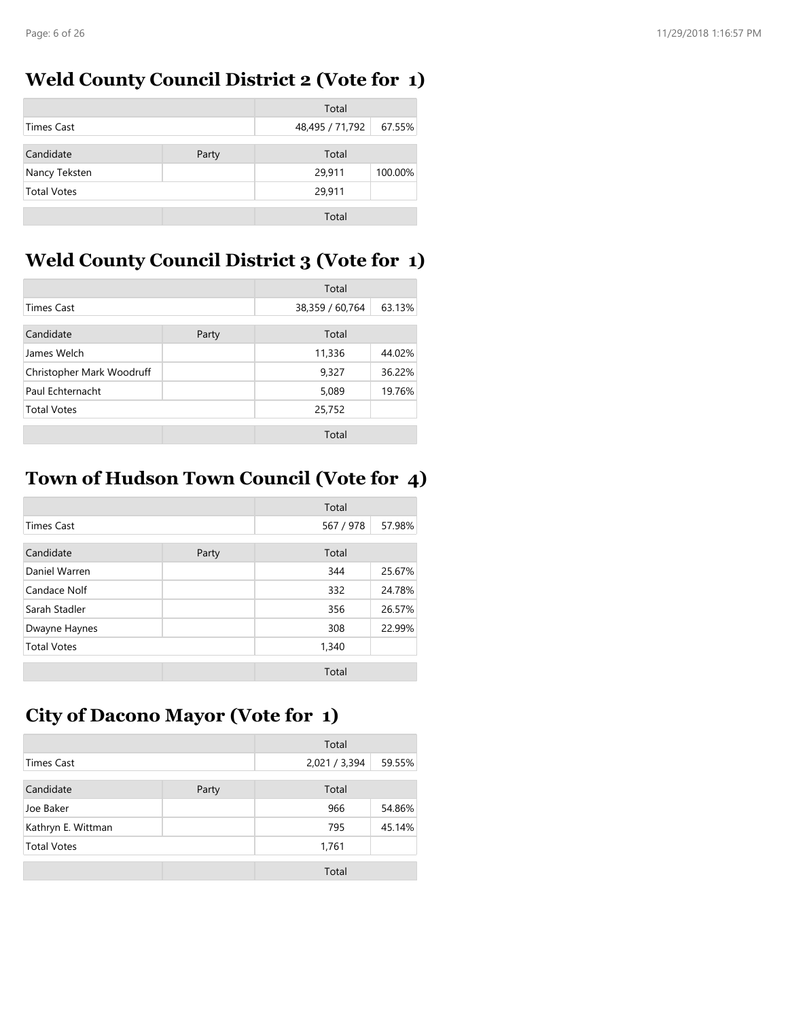### **Weld County Council District 2 (Vote for 1)**

|                    |       | Total           |         |
|--------------------|-------|-----------------|---------|
| Times Cast         |       | 48,495 / 71,792 | 67.55%  |
| Candidate          |       | Total           |         |
|                    | Party |                 |         |
| Nancy Teksten      |       | 29,911          | 100.00% |
| <b>Total Votes</b> |       | 29,911          |         |
|                    |       | Total           |         |

## **Weld County Council District 3 (Vote for 1)**

|                           |       | Total           |        |
|---------------------------|-------|-----------------|--------|
| <b>Times Cast</b>         |       | 38,359 / 60,764 | 63.13% |
| Candidate                 | Party | Total           |        |
| James Welch               |       | 11,336          | 44.02% |
| Christopher Mark Woodruff |       | 9,327           | 36.22% |
| Paul Echternacht          |       | 5,089           | 19.76% |
| <b>Total Votes</b>        |       | 25,752          |        |
|                           |       | Total           |        |

## **Town of Hudson Town Council (Vote for 4)**

|                    |       | Total     |        |
|--------------------|-------|-----------|--------|
| <b>Times Cast</b>  |       | 567 / 978 | 57.98% |
| Candidate          | Party | Total     |        |
| Daniel Warren      |       | 344       | 25.67% |
| Candace Nolf       |       | 332       | 24.78% |
| Sarah Stadler      |       | 356       | 26.57% |
| Dwayne Haynes      |       | 308       | 22.99% |
| <b>Total Votes</b> |       | 1,340     |        |
|                    |       | Total     |        |

### **City of Dacono Mayor (Vote for 1)**

|                    |       | Total         |        |
|--------------------|-------|---------------|--------|
| <b>Times Cast</b>  |       | 2,021 / 3,394 | 59.55% |
| Candidate          | Party | Total         |        |
| Joe Baker          |       | 966           | 54.86% |
| Kathryn E. Wittman |       | 795           | 45.14% |
| <b>Total Votes</b> |       | 1,761         |        |
|                    |       | Total         |        |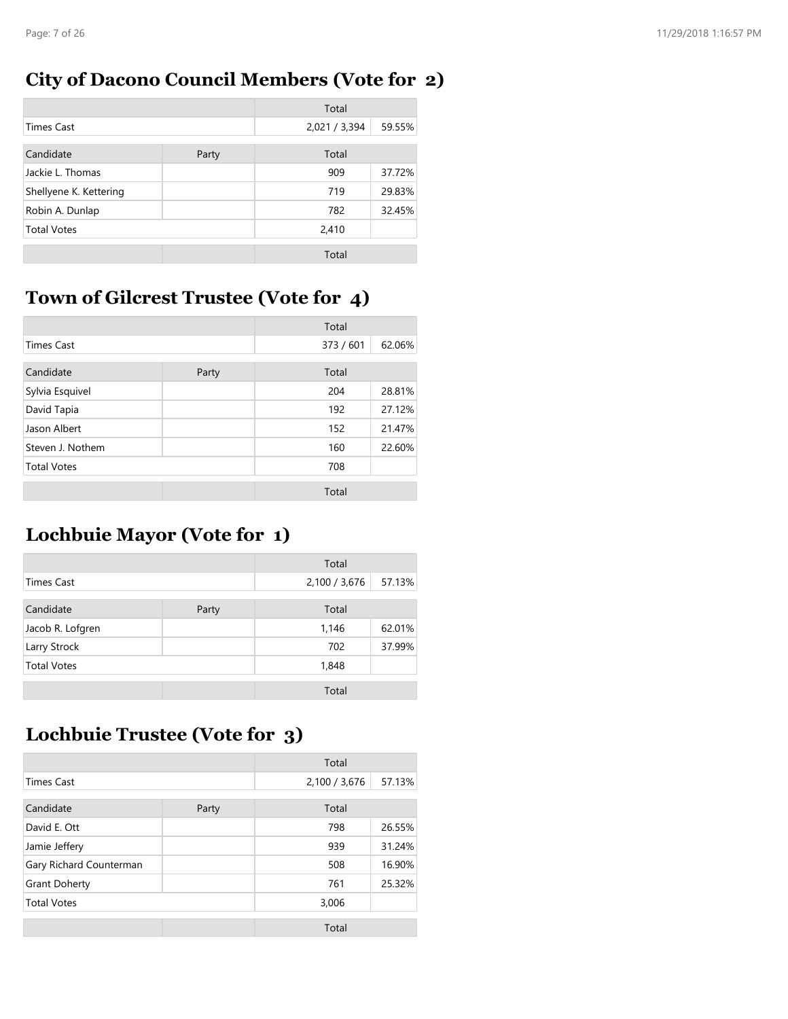## **City of Dacono Council Members (Vote for 2)**

|                        |       | Total         |        |
|------------------------|-------|---------------|--------|
| <b>Times Cast</b>      |       | 2,021 / 3,394 | 59.55% |
| Candidate              | Party | Total         |        |
| Jackie L. Thomas       |       | 909           | 37.72% |
| Shellyene K. Kettering |       | 719           | 29.83% |
| Robin A. Dunlap        |       | 782           | 32.45% |
| <b>Total Votes</b>     |       | 2,410         |        |
|                        |       | Total         |        |

# **Town of Gilcrest Trustee (Vote for 4)**

|                    |       | Total     |        |
|--------------------|-------|-----------|--------|
| <b>Times Cast</b>  |       | 373 / 601 | 62.06% |
| Candidate          | Party | Total     |        |
| Sylvia Esquivel    |       | 204       | 28.81% |
| David Tapia        |       | 192       | 27.12% |
| Jason Albert       |       | 152       | 21.47% |
| Steven J. Nothem   |       | 160       | 22.60% |
| <b>Total Votes</b> |       | 708       |        |
|                    |       | Total     |        |

### **Lochbuie Mayor (Vote for 1)**

|                    |       | Total         |        |
|--------------------|-------|---------------|--------|
| <b>Times Cast</b>  |       | 2,100 / 3,676 | 57.13% |
| Candidate          | Party | Total         |        |
| Jacob R. Lofgren   |       | 1,146         | 62.01% |
| Larry Strock       |       | 702           | 37.99% |
| <b>Total Votes</b> |       | 1,848         |        |
|                    |       | Total         |        |

### **Lochbuie Trustee (Vote for 3)**

|                         |       | Total         |        |
|-------------------------|-------|---------------|--------|
| <b>Times Cast</b>       |       | 2,100 / 3,676 | 57.13% |
| Candidate               | Party | Total         |        |
| David E. Ott            |       | 798           | 26.55% |
| Jamie Jeffery           |       | 939           | 31.24% |
| Gary Richard Counterman |       | 508           | 16.90% |
| <b>Grant Doherty</b>    |       | 761           | 25.32% |
| <b>Total Votes</b>      |       | 3,006         |        |
|                         |       | Total         |        |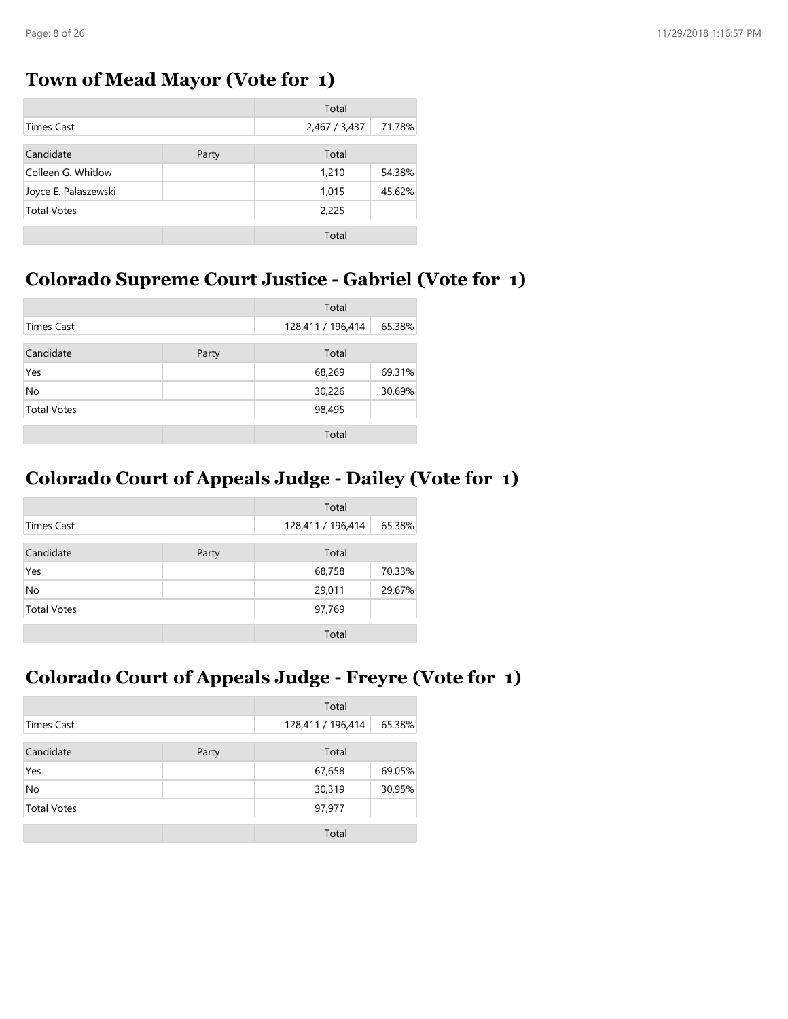#### **Town of Mead Mayor (Vote for 1)**

|                      |       | Total         |        |
|----------------------|-------|---------------|--------|
| <b>Times Cast</b>    |       | 2,467 / 3,437 | 71.78% |
| Candidate            | Party | Total         |        |
| Colleen G. Whitlow   |       | 1,210         | 54.38% |
| Joyce E. Palaszewski |       | 1,015         | 45.62% |
| <b>Total Votes</b>   |       | 2,225         |        |
|                      |       | Total         |        |

### **Colorado Supreme Court Justice - Gabriel (Vote for 1)**

|                    |  | Total             |        |
|--------------------|--|-------------------|--------|
| <b>Times Cast</b>  |  | 128,411 / 196,414 | 65.38% |
| Candidate<br>Party |  | Total             |        |
| Yes                |  | 68,269            | 69.31% |
| No                 |  | 30,226            | 30.69% |
| <b>Total Votes</b> |  | 98,495            |        |
|                    |  | Total             |        |

#### **Colorado Court of Appeals Judge - Dailey (Vote for 1)**

|                    |  | Total             |        |
|--------------------|--|-------------------|--------|
| <b>Times Cast</b>  |  | 128,411 / 196,414 | 65.38% |
| Candidate<br>Party |  | Total             |        |
| Yes                |  | 68,758            | 70.33% |
| No                 |  | 29,011            | 29.67% |
| <b>Total Votes</b> |  | 97,769            |        |
|                    |  | Total             |        |

### **Colorado Court of Appeals Judge - Freyre (Vote for 1)**

|                    |       | Total             |        |
|--------------------|-------|-------------------|--------|
| Times Cast         |       | 128,411 / 196,414 | 65.38% |
| Candidate<br>Party |       | Total             |        |
| Yes                |       | 67,658            | 69.05% |
| No                 |       | 30,319            | 30.95% |
| <b>Total Votes</b> |       | 97,977            |        |
|                    | Total |                   |        |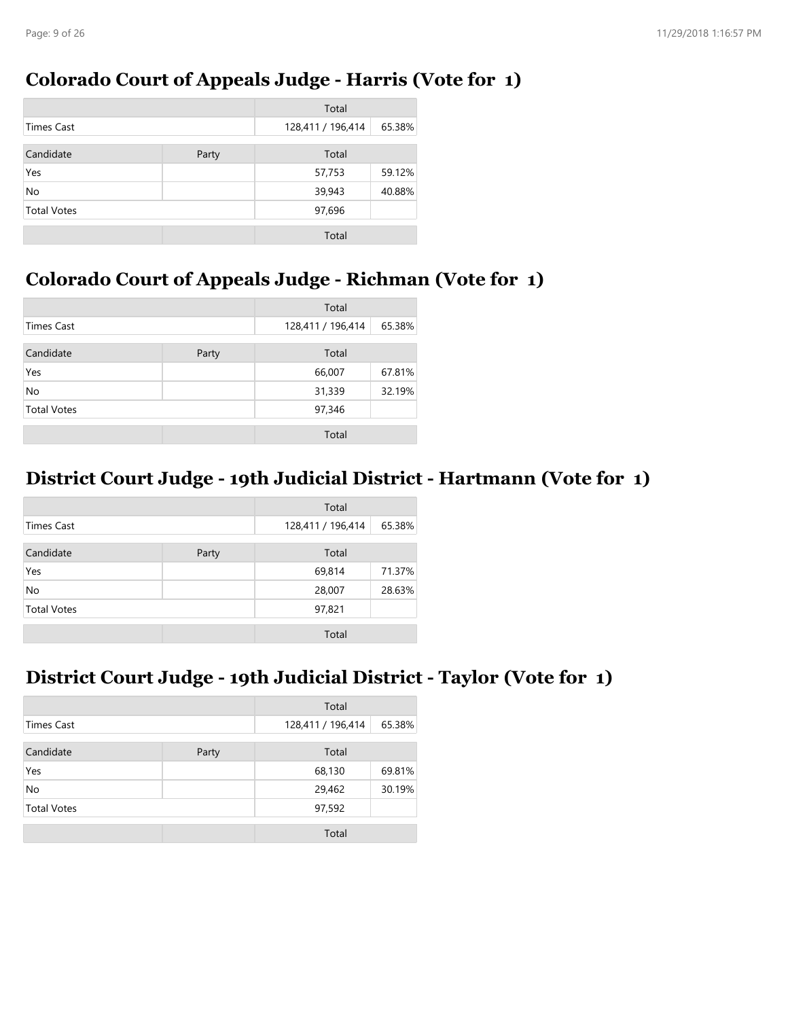#### **Colorado Court of Appeals Judge - Harris (Vote for 1)**

|                    |       | Total             |        |
|--------------------|-------|-------------------|--------|
| <b>Times Cast</b>  |       | 128,411 / 196,414 | 65.38% |
| Candidate          | Party | Total             |        |
| Yes                |       | 57,753            | 59.12% |
| <b>No</b>          |       | 39,943            | 40.88% |
| <b>Total Votes</b> |       | 97,696            |        |
|                    |       | Total             |        |

### **Colorado Court of Appeals Judge - Richman (Vote for 1)**

|                    |       | Total             |        |
|--------------------|-------|-------------------|--------|
| <b>Times Cast</b>  |       | 128,411 / 196,414 | 65.38% |
| Candidate          | Party | Total             |        |
| Yes                |       | 66,007            | 67.81% |
| No                 |       | 31,339            | 32.19% |
| <b>Total Votes</b> |       | 97,346            |        |
|                    |       | Total             |        |

### **District Court Judge - 19th Judicial District - Hartmann (Vote for 1)**

|                    |       | Total             |        |
|--------------------|-------|-------------------|--------|
| <b>Times Cast</b>  |       | 128,411 / 196,414 | 65.38% |
| Candidate          | Party | Total             |        |
| Yes                |       | 69,814            | 71.37% |
| No                 |       | 28,007            | 28.63% |
| <b>Total Votes</b> |       | 97,821            |        |
|                    |       | Total             |        |

#### **District Court Judge - 19th Judicial District - Taylor (Vote for 1)**

|                    |       | Total             |        |
|--------------------|-------|-------------------|--------|
| <b>Times Cast</b>  |       | 128,411 / 196,414 | 65.38% |
| Candidate          | Party | Total             |        |
| Yes                |       | 68,130            | 69.81% |
| No                 |       | 29,462            | 30.19% |
| <b>Total Votes</b> |       | 97,592            |        |
|                    |       | Total             |        |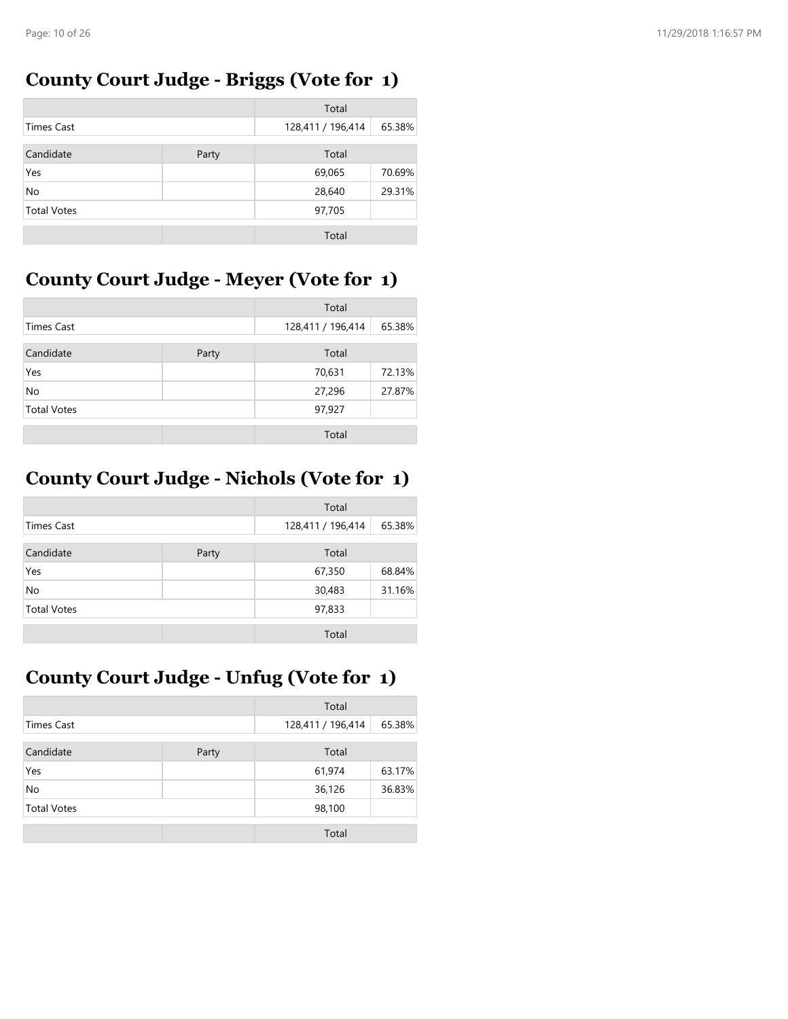### **County Court Judge - Briggs (Vote for 1)**

|                    |       | Total             |        |
|--------------------|-------|-------------------|--------|
| <b>Times Cast</b>  |       | 128,411 / 196,414 | 65.38% |
| Candidate          | Party | Total             |        |
| Yes                |       | 69,065            | 70.69% |
| No                 |       | 28,640            | 29.31% |
| <b>Total Votes</b> |       | 97,705            |        |
|                    |       | Total             |        |

## **County Court Judge - Meyer (Vote for 1)**

|                    |  | Total             |        |
|--------------------|--|-------------------|--------|
| <b>Times Cast</b>  |  | 128,411 / 196,414 | 65.38% |
| Candidate<br>Party |  | Total             |        |
| Yes                |  | 70,631            | 72.13% |
| No                 |  | 27,296            | 27.87% |
| <b>Total Votes</b> |  | 97,927            |        |
|                    |  | Total             |        |

## **County Court Judge - Nichols (Vote for 1)**

|                    |       | Total             |        |
|--------------------|-------|-------------------|--------|
| <b>Times Cast</b>  |       | 128,411 / 196,414 | 65.38% |
| Candidate          | Party | Total             |        |
| Yes                |       | 67,350            | 68.84% |
| No                 |       | 30,483            | 31.16% |
| <b>Total Votes</b> |       | 97,833            |        |
|                    |       | Total             |        |

# **County Court Judge - Unfug (Vote for 1)**

|                    |  | Total             |        |
|--------------------|--|-------------------|--------|
| Times Cast         |  | 128,411 / 196,414 | 65.38% |
| Candidate<br>Party |  | Total             |        |
| Yes                |  | 61,974            | 63.17% |
| <b>No</b>          |  | 36,126            | 36.83% |
| <b>Total Votes</b> |  | 98,100            |        |
|                    |  | Total             |        |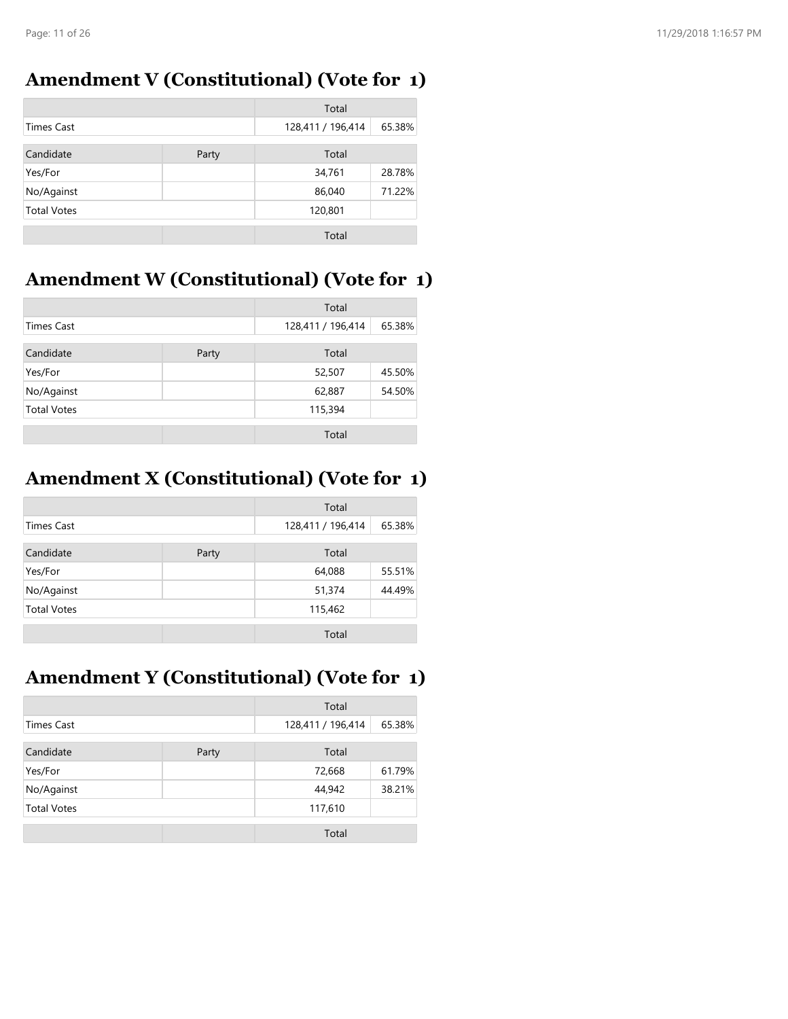### **Amendment V (Constitutional) (Vote for 1)**

|                    |       | Total             |        |
|--------------------|-------|-------------------|--------|
| <b>Times Cast</b>  |       | 128,411 / 196,414 | 65.38% |
| Candidate          | Party | Total             |        |
| Yes/For            |       | 34,761            | 28.78% |
| No/Against         |       | 86,040            | 71.22% |
| <b>Total Votes</b> |       | 120,801           |        |
|                    |       | Total             |        |

## **Amendment W (Constitutional) (Vote for 1)**

|                    |       | Total             |        |
|--------------------|-------|-------------------|--------|
| Times Cast         |       | 128,411 / 196,414 | 65.38% |
| Candidate          | Party | Total             |        |
| Yes/For            |       | 52,507            | 45.50% |
| No/Against         |       | 62,887            | 54.50% |
| <b>Total Votes</b> |       | 115,394           |        |
|                    |       | Total             |        |

## **Amendment X (Constitutional) (Vote for 1)**

|                    |       | Total             |        |
|--------------------|-------|-------------------|--------|
| <b>Times Cast</b>  |       | 128,411 / 196,414 | 65.38% |
| Candidate          | Party | Total             |        |
| Yes/For            |       | 64,088            | 55.51% |
| No/Against         |       | 51,374            | 44.49% |
| <b>Total Votes</b> |       | 115,462           |        |
|                    |       | Total             |        |

# **Amendment Y (Constitutional) (Vote for 1)**

|                    |  | Total             |        |
|--------------------|--|-------------------|--------|
| <b>Times Cast</b>  |  | 128,411 / 196,414 | 65.38% |
| Candidate<br>Party |  | Total             |        |
| Yes/For            |  | 72,668            | 61.79% |
| No/Against         |  | 44,942            | 38.21% |
| <b>Total Votes</b> |  | 117,610           |        |
|                    |  | Total             |        |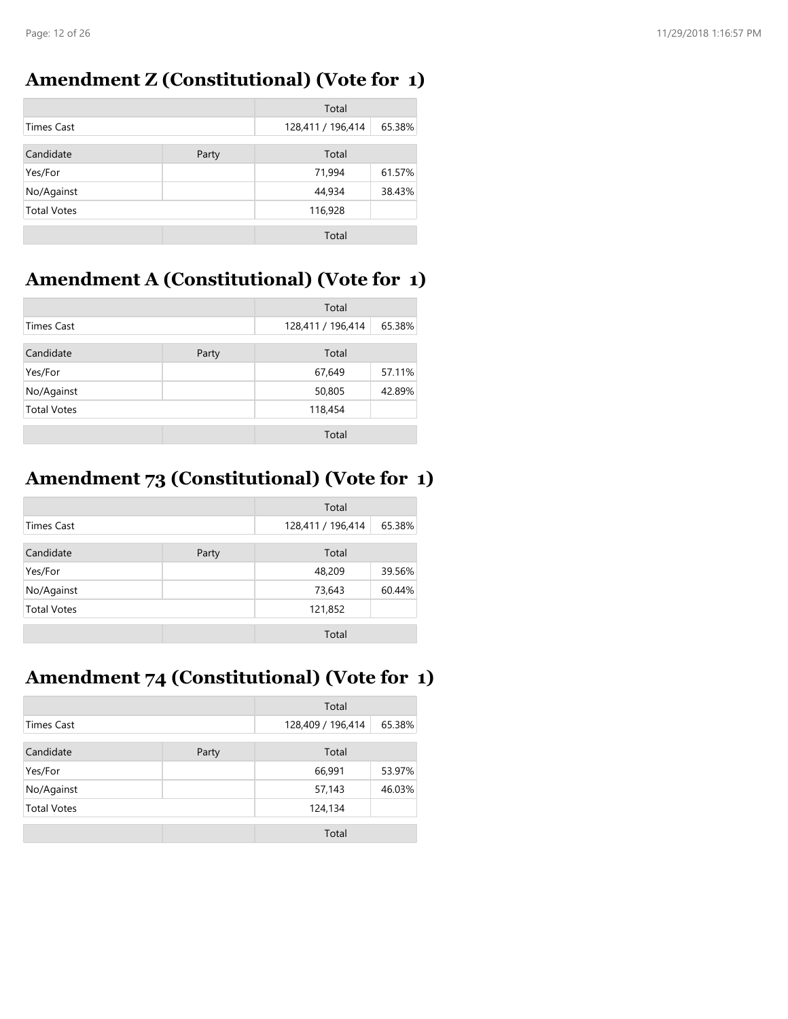### **Amendment Z (Constitutional) (Vote for 1)**

|                    |       | Total             |        |
|--------------------|-------|-------------------|--------|
| <b>Times Cast</b>  |       | 128,411 / 196,414 | 65.38% |
| Candidate          | Party | Total             |        |
| Yes/For            |       | 71,994            | 61.57% |
| No/Against         |       | 44,934            | 38.43% |
| <b>Total Votes</b> |       | 116,928           |        |
|                    |       | Total             |        |

## **Amendment A (Constitutional) (Vote for 1)**

|                    |  | Total             |        |
|--------------------|--|-------------------|--------|
| <b>Times Cast</b>  |  | 128,411 / 196,414 | 65.38% |
| Candidate<br>Party |  | Total             |        |
| Yes/For            |  | 67,649            | 57.11% |
| No/Against         |  | 50,805            | 42.89% |
| <b>Total Votes</b> |  | 118,454           |        |
|                    |  | Total             |        |

## **Amendment 73 (Constitutional) (Vote for 1)**

|                    |       | Total             |        |
|--------------------|-------|-------------------|--------|
| <b>Times Cast</b>  |       | 128,411 / 196,414 | 65.38% |
| Candidate          | Party | Total             |        |
| Yes/For            |       | 48,209            | 39.56% |
| No/Against         |       | 73,643            | 60.44% |
| <b>Total Votes</b> |       | 121,852           |        |
|                    |       | Total             |        |

## **Amendment 74 (Constitutional) (Vote for 1)**

|                    |       | Total             |        |
|--------------------|-------|-------------------|--------|
| <b>Times Cast</b>  |       | 128,409 / 196,414 | 65.38% |
| Candidate          | Party | Total             |        |
| Yes/For            |       | 66,991            | 53.97% |
| No/Against         |       | 57,143            | 46.03% |
| <b>Total Votes</b> |       | 124,134           |        |
|                    |       | Total             |        |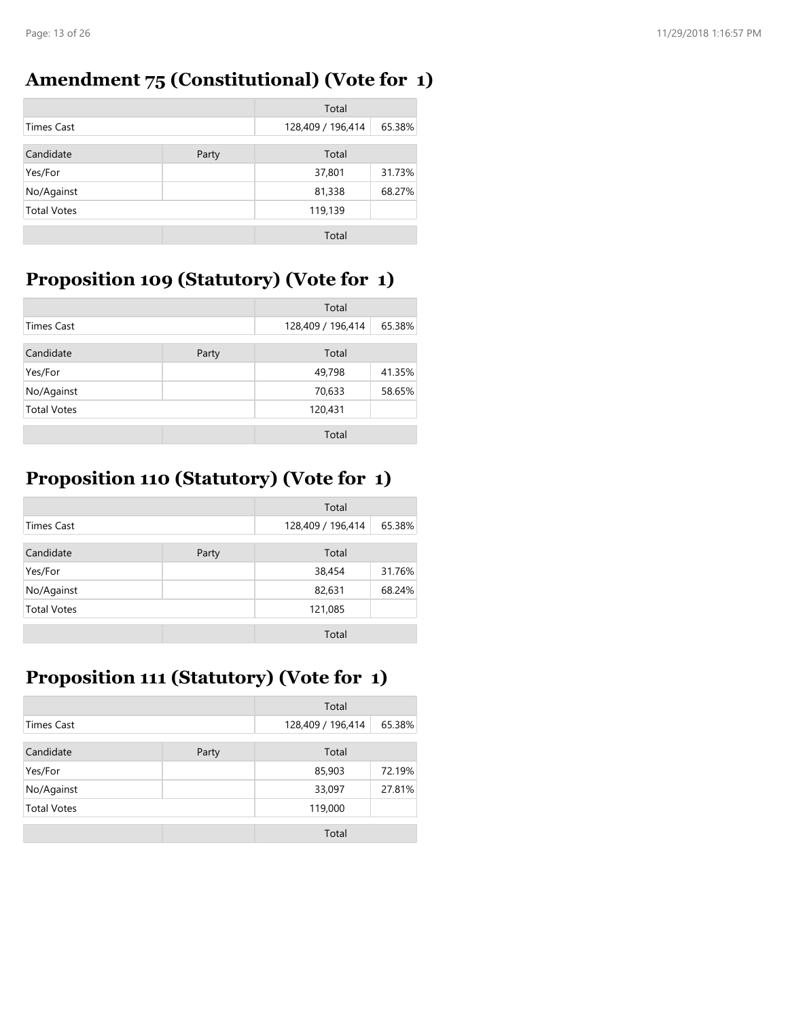## **Amendment 75 (Constitutional) (Vote for 1)**

|                    |       | Total             |        |
|--------------------|-------|-------------------|--------|
| <b>Times Cast</b>  |       | 128,409 / 196,414 | 65.38% |
| Candidate          | Party | Total             |        |
| Yes/For            |       | 37,801            | 31.73% |
| No/Against         |       | 81,338            | 68.27% |
| <b>Total Votes</b> |       | 119,139           |        |
|                    |       | Total             |        |

## **Proposition 109 (Statutory) (Vote for 1)**

|                    |       | Total             |        |
|--------------------|-------|-------------------|--------|
| <b>Times Cast</b>  |       | 128,409 / 196,414 | 65.38% |
| Candidate          | Party | Total             |        |
| Yes/For            |       | 49,798            | 41.35% |
| No/Against         |       | 70,633            | 58.65% |
| <b>Total Votes</b> |       | 120,431           |        |
|                    |       | Total             |        |

## **Proposition 110 (Statutory) (Vote for 1)**

|                    |       | Total             |        |
|--------------------|-------|-------------------|--------|
| <b>Times Cast</b>  |       | 128,409 / 196,414 | 65.38% |
| Candidate          | Party | Total             |        |
| Yes/For            |       | 38,454            | 31.76% |
| No/Against         |       | 82,631            | 68.24% |
| <b>Total Votes</b> |       | 121,085           |        |
|                    |       | Total             |        |

## **Proposition 111 (Statutory) (Vote for 1)**

|                    |       | Total             |        |
|--------------------|-------|-------------------|--------|
| Times Cast         |       | 128,409 / 196,414 | 65.38% |
| Candidate          | Party | Total             |        |
| Yes/For            |       | 85,903            | 72.19% |
| No/Against         |       | 33,097            | 27.81% |
| <b>Total Votes</b> |       | 119,000           |        |
|                    |       | Total             |        |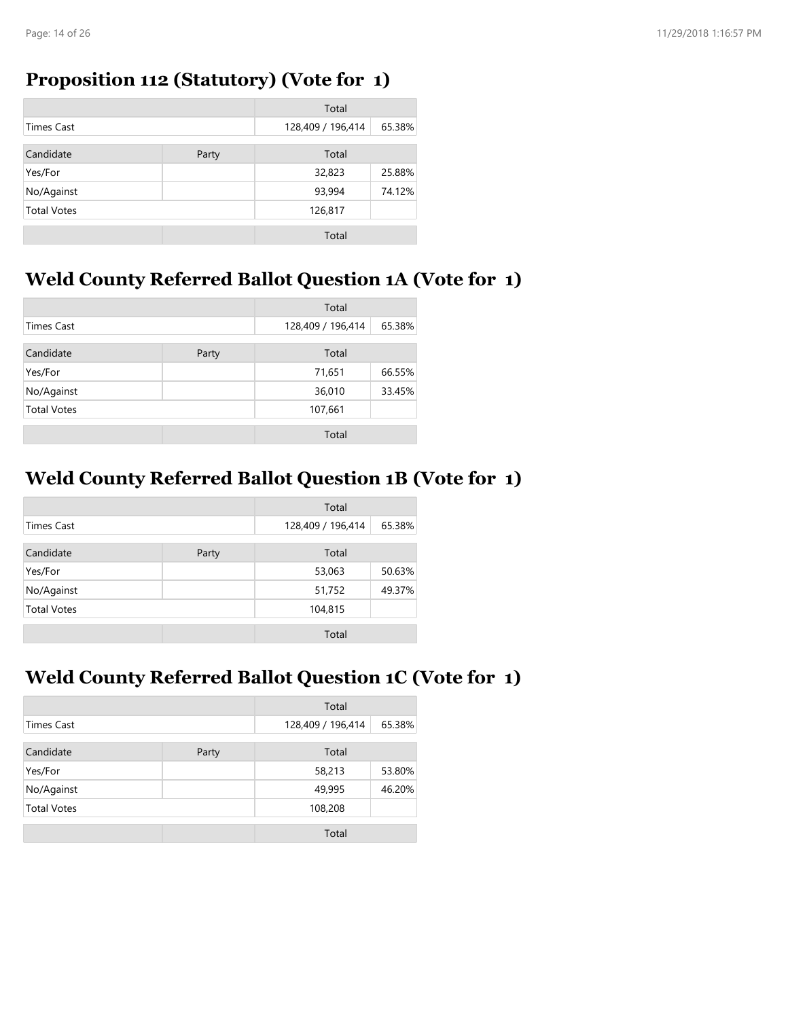#### **Proposition 112 (Statutory) (Vote for 1)**

|                    |       | Total             |        |
|--------------------|-------|-------------------|--------|
| <b>Times Cast</b>  |       | 128,409 / 196,414 | 65.38% |
| Candidate          | Party | Total             |        |
| Yes/For            |       | 32,823            | 25.88% |
| No/Against         |       | 93,994            | 74.12% |
| <b>Total Votes</b> |       | 126,817           |        |
|                    |       | Total             |        |

## **Weld County Referred Ballot Question 1A (Vote for 1)**

|                    |       | Total             |        |
|--------------------|-------|-------------------|--------|
| <b>Times Cast</b>  |       | 128,409 / 196,414 | 65.38% |
| Candidate          | Party | Total             |        |
| Yes/For            |       | 71,651            | 66.55% |
| No/Against         |       | 36,010            | 33.45% |
| <b>Total Votes</b> |       | 107,661           |        |
|                    |       | Total             |        |

## **Weld County Referred Ballot Question 1B (Vote for 1)**

|                    |       | Total             |        |
|--------------------|-------|-------------------|--------|
| <b>Times Cast</b>  |       | 128,409 / 196,414 | 65.38% |
| Candidate          | Party | Total             |        |
| Yes/For            |       | 53,063            | 50.63% |
| No/Against         |       | 51,752            | 49.37% |
| <b>Total Votes</b> |       | 104,815           |        |
|                    |       | Total             |        |

#### **Weld County Referred Ballot Question 1C (Vote for 1)**

|                    |       | Total             |        |
|--------------------|-------|-------------------|--------|
| <b>Times Cast</b>  |       | 128,409 / 196,414 | 65.38% |
| Candidate          | Party | Total             |        |
| Yes/For            |       | 58,213            | 53.80% |
| No/Against         |       | 49,995            | 46.20% |
| <b>Total Votes</b> |       | 108,208           |        |
|                    |       | Total             |        |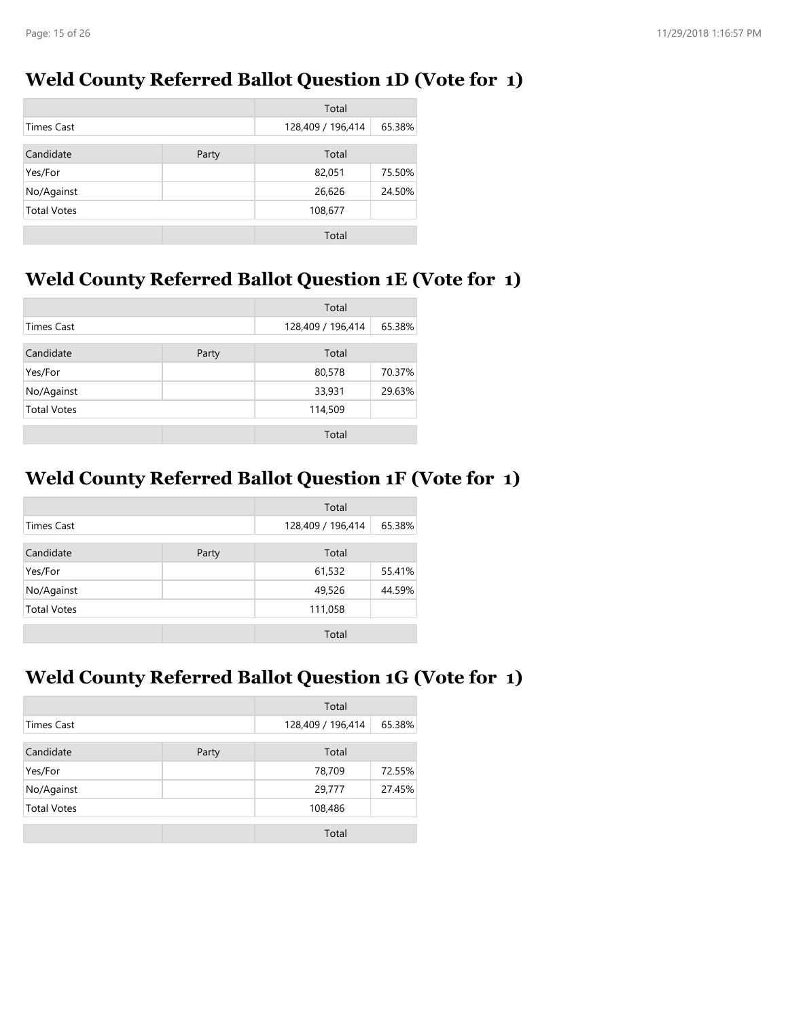#### **Weld County Referred Ballot Question 1D (Vote for 1)**

|                    |       | Total             |        |
|--------------------|-------|-------------------|--------|
| Times Cast         |       | 128,409 / 196,414 | 65.38% |
| Candidate          | Party | Total             |        |
| Yes/For            |       | 82,051            | 75.50% |
| No/Against         |       | 26,626            | 24.50% |
| <b>Total Votes</b> |       | 108,677           |        |
|                    |       | Total             |        |

## **Weld County Referred Ballot Question 1E (Vote for 1)**

|                    |       | Total             |        |
|--------------------|-------|-------------------|--------|
| <b>Times Cast</b>  |       | 128,409 / 196,414 | 65.38% |
| Candidate          | Party | Total             |        |
| Yes/For            |       | 80,578            | 70.37% |
| No/Against         |       | 33,931            | 29.63% |
| <b>Total Votes</b> |       | 114,509           |        |
|                    |       | Total             |        |

## **Weld County Referred Ballot Question 1F (Vote for 1)**

|                    |       | Total             |        |
|--------------------|-------|-------------------|--------|
| <b>Times Cast</b>  |       | 128,409 / 196,414 | 65.38% |
| Candidate          | Party | Total             |        |
| Yes/For            |       | 61,532            | 55.41% |
| No/Against         |       | 49,526            | 44.59% |
| <b>Total Votes</b> |       | 111,058           |        |
|                    |       | Total             |        |

#### **Weld County Referred Ballot Question 1G (Vote for 1)**

|                    |       | Total             |        |
|--------------------|-------|-------------------|--------|
| <b>Times Cast</b>  |       | 128,409 / 196,414 | 65.38% |
| Candidate          | Party | Total             |        |
| Yes/For            |       | 78,709            | 72.55% |
| No/Against         |       | 29,777            | 27.45% |
| <b>Total Votes</b> |       | 108,486           |        |
|                    |       | Total             |        |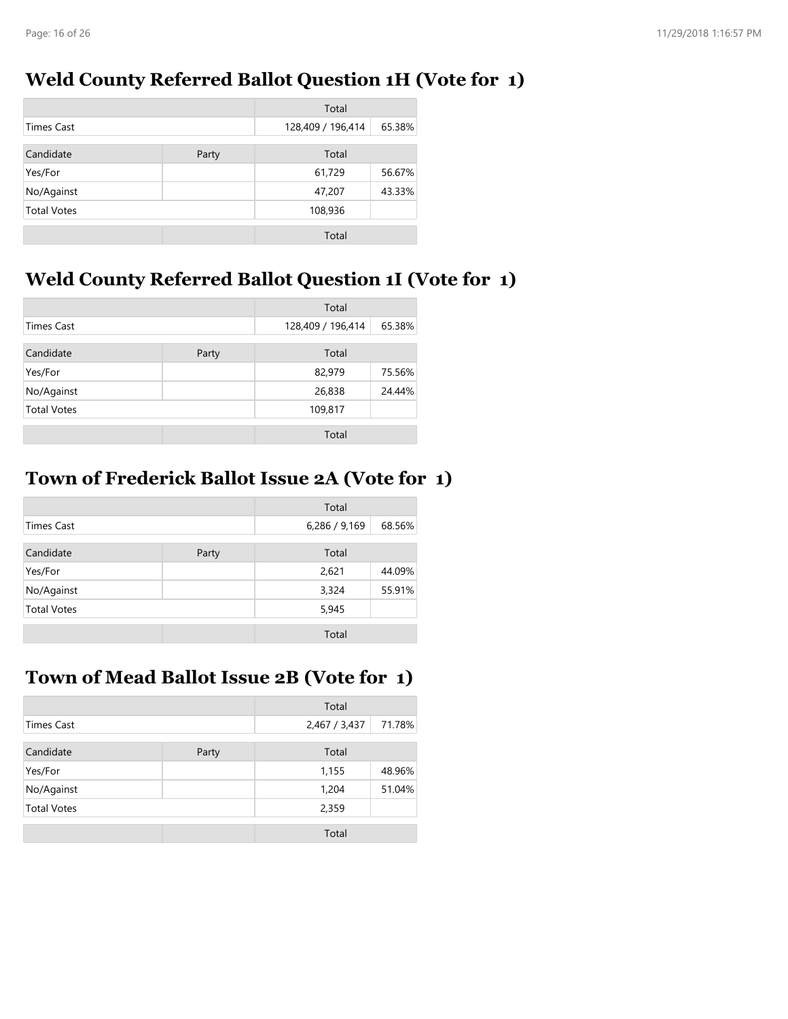#### **Weld County Referred Ballot Question 1H (Vote for 1)**

|                    |       | Total             |        |
|--------------------|-------|-------------------|--------|
| Times Cast         |       | 128,409 / 196,414 | 65.38% |
| Candidate          | Party | Total             |        |
| Yes/For            |       | 61,729            | 56.67% |
| No/Against         |       | 47,207            | 43.33% |
| <b>Total Votes</b> |       | 108,936           |        |
|                    |       | Total             |        |

## **Weld County Referred Ballot Question 1I (Vote for 1)**

|                    |       | Total             |        |
|--------------------|-------|-------------------|--------|
| <b>Times Cast</b>  |       | 128,409 / 196,414 | 65.38% |
| Candidate          | Party | Total             |        |
| Yes/For            |       | 82,979            | 75.56% |
| No/Against         |       | 26,838            | 24.44% |
| <b>Total Votes</b> |       | 109,817           |        |
|                    |       | Total             |        |

### **Town of Frederick Ballot Issue 2A (Vote for 1)**

|                    |       | Total         |        |
|--------------------|-------|---------------|--------|
| <b>Times Cast</b>  |       | 6,286 / 9,169 | 68.56% |
| Candidate          | Party | Total         |        |
| Yes/For            |       | 2,621         | 44.09% |
| No/Against         |       | 3,324         | 55.91% |
| <b>Total Votes</b> |       | 5,945         |        |
|                    |       | Total         |        |

#### **Town of Mead Ballot Issue 2B (Vote for 1)**

|                    |       | Total         |        |
|--------------------|-------|---------------|--------|
| <b>Times Cast</b>  |       | 2,467 / 3,437 | 71.78% |
| Candidate          | Party | Total         |        |
| Yes/For            |       | 1,155         | 48.96% |
| No/Against         |       | 1,204         | 51.04% |
| <b>Total Votes</b> |       | 2,359         |        |
|                    |       | Total         |        |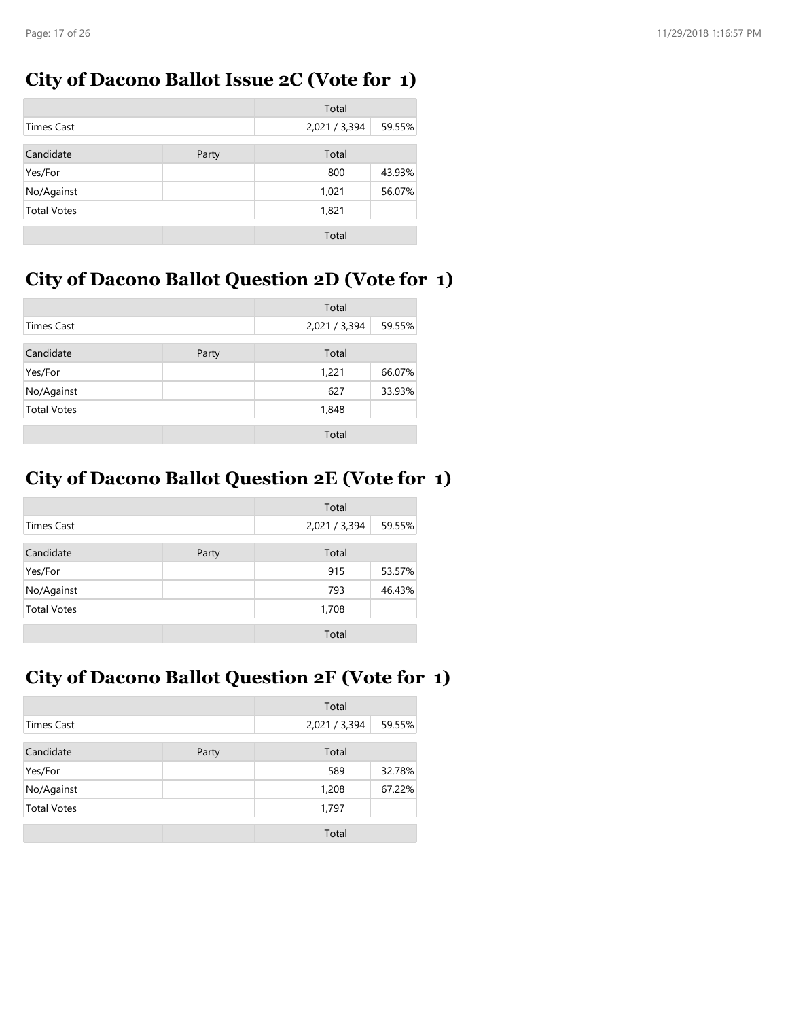### **City of Dacono Ballot Issue 2C (Vote for 1)**

|                    |       | Total         |        |
|--------------------|-------|---------------|--------|
| Times Cast         |       | 2,021 / 3,394 | 59.55% |
| Candidate          | Party | Total         |        |
| Yes/For            |       | 800           | 43.93% |
| No/Against         |       | 1,021         | 56.07% |
| <b>Total Votes</b> |       | 1,821         |        |
|                    |       | Total         |        |

## **City of Dacono Ballot Question 2D (Vote for 1)**

|                    |       | Total         |        |
|--------------------|-------|---------------|--------|
| <b>Times Cast</b>  |       | 2,021 / 3,394 | 59.55% |
| Candidate          | Party | Total         |        |
| Yes/For            |       | 1,221         | 66.07% |
| No/Against         |       | 627           | 33.93% |
| <b>Total Votes</b> |       | 1,848         |        |
|                    |       | Total         |        |

## **City of Dacono Ballot Question 2E (Vote for 1)**

|                    |       | Total         |        |
|--------------------|-------|---------------|--------|
| Times Cast         |       | 2,021 / 3,394 | 59.55% |
| Candidate          | Party | Total         |        |
| Yes/For            |       | 915           | 53.57% |
| No/Against         |       | 793           | 46.43% |
| <b>Total Votes</b> |       | 1,708         |        |
|                    |       | Total         |        |

### **City of Dacono Ballot Question 2F (Vote for 1)**

|                    |       | Total         |        |
|--------------------|-------|---------------|--------|
| <b>Times Cast</b>  |       | 2,021 / 3,394 | 59.55% |
| Candidate          | Party | Total         |        |
| Yes/For            |       | 589           | 32.78% |
| No/Against         |       | 1,208         | 67.22% |
| <b>Total Votes</b> |       | 1,797         |        |
|                    |       | Total         |        |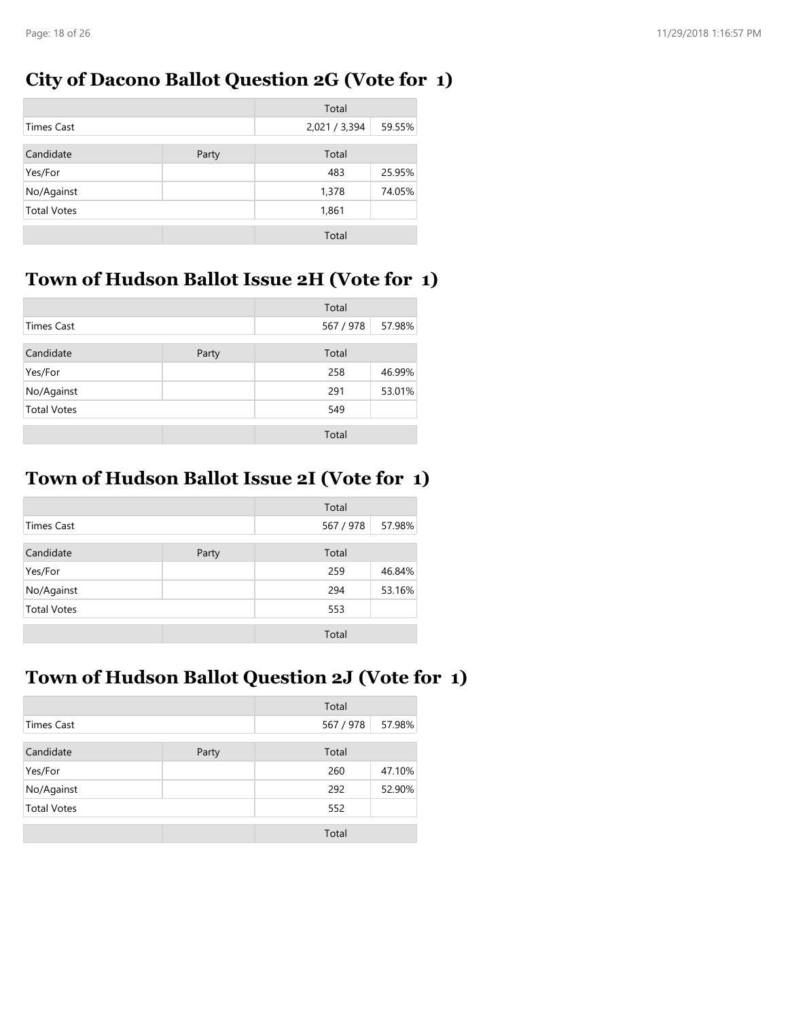#### **City of Dacono Ballot Question 2G (Vote for 1)**

|                    |       | Total         |        |
|--------------------|-------|---------------|--------|
| <b>Times Cast</b>  |       | 2,021 / 3,394 | 59.55% |
| Candidate          | Party | Total         |        |
| Yes/For            |       | 483           | 25.95% |
| No/Against         |       | 1,378         | 74.05% |
| <b>Total Votes</b> |       | 1,861         |        |
|                    |       | Total         |        |

## **Town of Hudson Ballot Issue 2H (Vote for 1)**

|                    |       | Total     |        |
|--------------------|-------|-----------|--------|
| <b>Times Cast</b>  |       | 567 / 978 | 57.98% |
| Candidate          | Party | Total     |        |
| Yes/For            |       | 258       | 46.99% |
| No/Against         |       | 291       | 53.01% |
| <b>Total Votes</b> |       | 549       |        |
|                    |       | Total     |        |

## **Town of Hudson Ballot Issue 2I (Vote for 1)**

|                    |       | Total     |        |
|--------------------|-------|-----------|--------|
| Times Cast         |       | 567 / 978 | 57.98% |
| Candidate          | Party | Total     |        |
| Yes/For            |       | 259       | 46.84% |
| No/Against         |       | 294       | 53.16% |
| <b>Total Votes</b> |       | 553       |        |
|                    |       | Total     |        |

### **Town of Hudson Ballot Question 2J (Vote for 1)**

|                    |       | Total     |        |
|--------------------|-------|-----------|--------|
| <b>Times Cast</b>  |       | 567 / 978 | 57.98% |
| Candidate          | Party | Total     |        |
| Yes/For            |       | 260       | 47.10% |
| No/Against         |       | 292       | 52.90% |
| <b>Total Votes</b> |       | 552       |        |
|                    |       | Total     |        |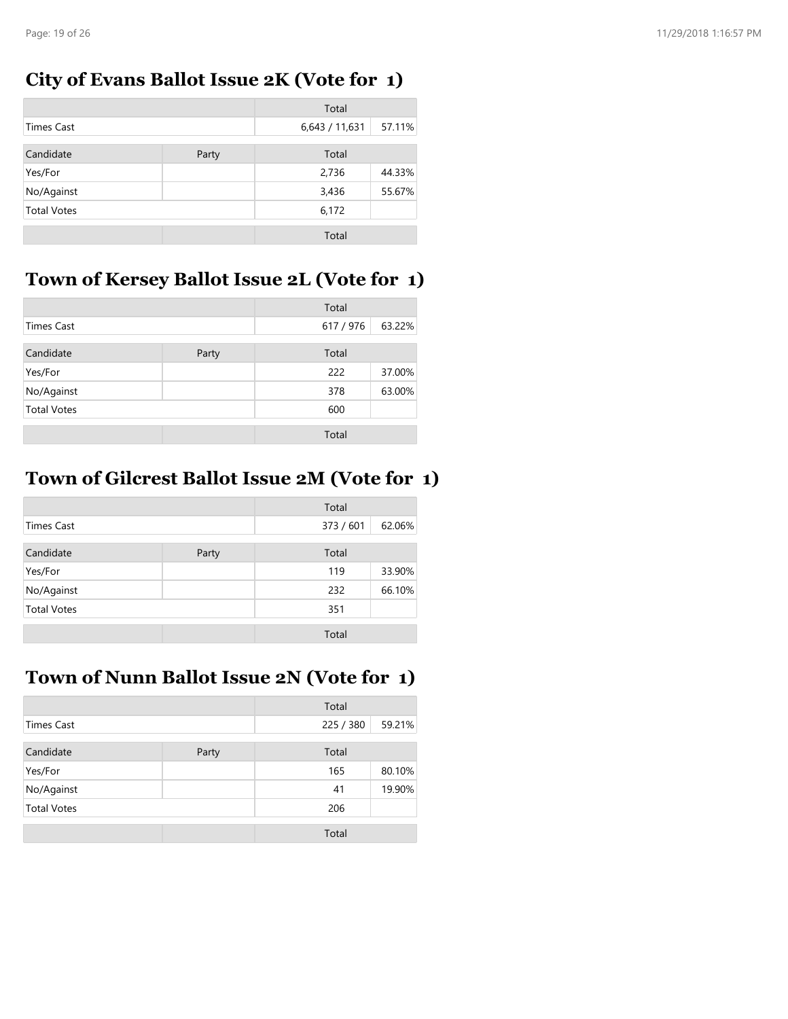#### **City of Evans Ballot Issue 2K (Vote for 1)**

|                    |       | Total          |        |
|--------------------|-------|----------------|--------|
| Times Cast         |       | 6,643 / 11,631 | 57.11% |
| Candidate          | Party | Total          |        |
| Yes/For            |       | 2,736          | 44.33% |
| No/Against         |       | 3,436          | 55.67% |
| <b>Total Votes</b> |       | 6,172          |        |
|                    |       | Total          |        |

### **Town of Kersey Ballot Issue 2L (Vote for 1)**

|                    |       | Total     |        |
|--------------------|-------|-----------|--------|
| <b>Times Cast</b>  |       | 617 / 976 | 63.22% |
| Candidate          | Party | Total     |        |
| Yes/For            |       | 222       | 37.00% |
| No/Against         |       | 378       | 63.00% |
| <b>Total Votes</b> |       | 600       |        |
|                    |       | Total     |        |

## **Town of Gilcrest Ballot Issue 2M (Vote for 1)**

|                    |       | Total     |        |
|--------------------|-------|-----------|--------|
| <b>Times Cast</b>  |       | 373 / 601 | 62.06% |
| Candidate          | Party | Total     |        |
| Yes/For            |       | 119       | 33.90% |
| No/Against         |       | 232       | 66.10% |
| <b>Total Votes</b> |       | 351       |        |
|                    |       | Total     |        |

### **Town of Nunn Ballot Issue 2N (Vote for 1)**

|                    |       | Total     |        |
|--------------------|-------|-----------|--------|
| <b>Times Cast</b>  |       | 225 / 380 | 59.21% |
| Candidate          | Party | Total     |        |
| Yes/For            |       | 165       | 80.10% |
| No/Against         |       | 41        | 19.90% |
| <b>Total Votes</b> |       | 206       |        |
|                    |       | Total     |        |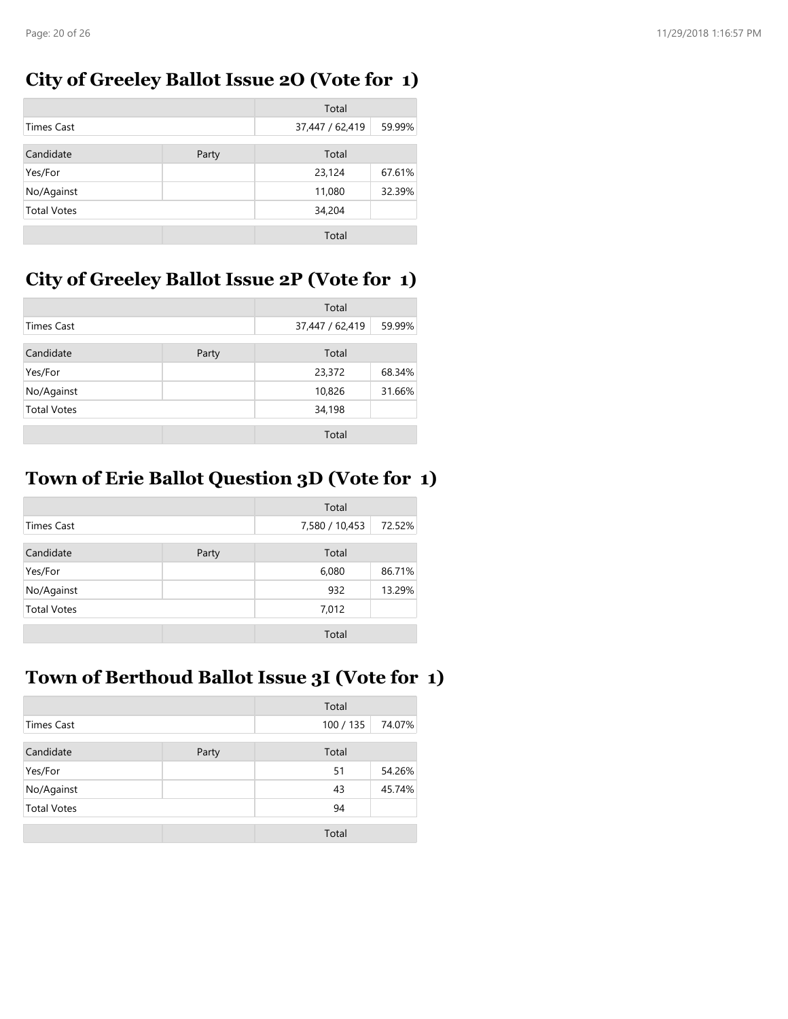#### **City of Greeley Ballot Issue 2O (Vote for 1)**

|                    |       | Total           |        |
|--------------------|-------|-----------------|--------|
| <b>Times Cast</b>  |       | 37,447 / 62,419 | 59.99% |
| Candidate          | Party | Total           |        |
| Yes/For            |       | 23,124          | 67.61% |
| No/Against         |       | 11,080          | 32.39% |
| <b>Total Votes</b> |       | 34,204          |        |
|                    |       | Total           |        |

## **City of Greeley Ballot Issue 2P (Vote for 1)**

|                    |       | Total           |        |
|--------------------|-------|-----------------|--------|
| Times Cast         |       | 37,447 / 62,419 | 59.99% |
| Candidate          | Party | Total           |        |
| Yes/For            |       | 23,372          | 68.34% |
| No/Against         |       | 10,826          | 31.66% |
| <b>Total Votes</b> |       | 34,198          |        |
|                    |       | Total           |        |

## **Town of Erie Ballot Question 3D (Vote for 1)**

|                    |       | Total          |        |
|--------------------|-------|----------------|--------|
| <b>Times Cast</b>  |       | 7,580 / 10,453 | 72.52% |
| Candidate          | Party | Total          |        |
| Yes/For            |       | 6,080          | 86.71% |
| No/Against         |       | 932            | 13.29% |
| <b>Total Votes</b> |       | 7,012          |        |
|                    |       | Total          |        |

### **Town of Berthoud Ballot Issue 3I (Vote for 1)**

|                    |       | Total   |        |
|--------------------|-------|---------|--------|
| <b>Times Cast</b>  |       | 100/135 | 74.07% |
| Candidate          | Party | Total   |        |
| Yes/For            |       | 51      | 54.26% |
| No/Against         |       | 43      | 45.74% |
| <b>Total Votes</b> |       | 94      |        |
|                    |       | Total   |        |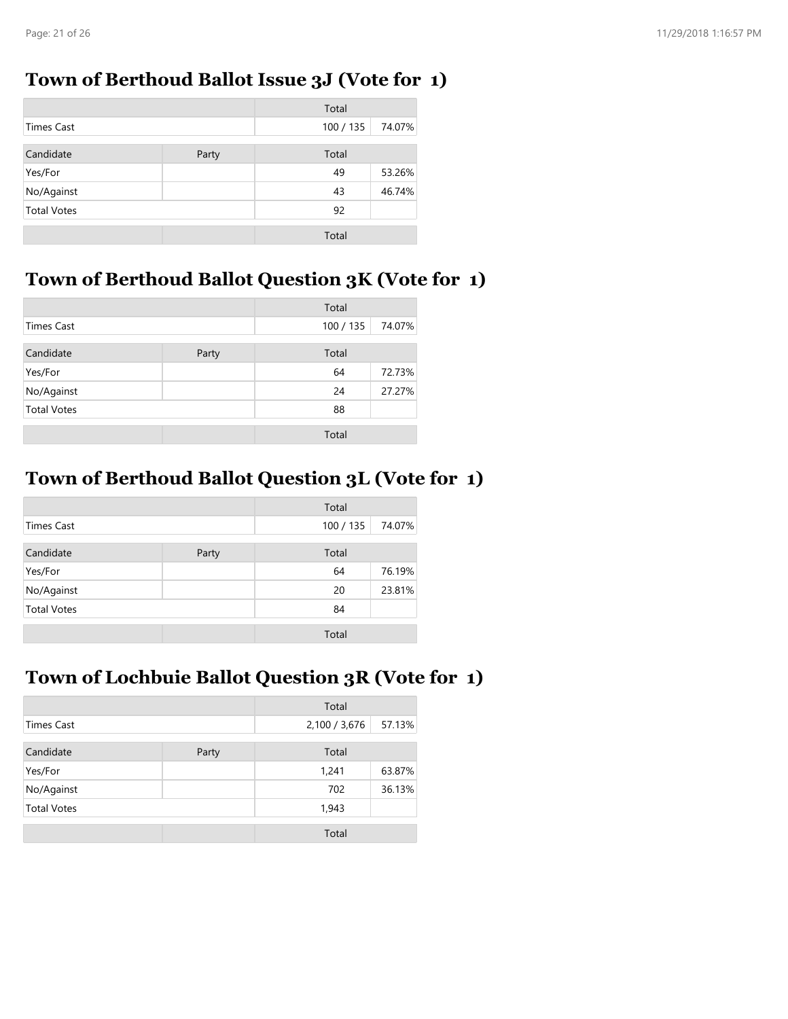#### **Town of Berthoud Ballot Issue 3J (Vote for 1)**

|                    |       | Total   |        |
|--------------------|-------|---------|--------|
| <b>Times Cast</b>  |       | 100/135 | 74.07% |
| Candidate          | Party | Total   |        |
| Yes/For            |       | 49      | 53.26% |
| No/Against         |       | 43      | 46.74% |
| <b>Total Votes</b> |       | 92      |        |
|                    |       | Total   |        |

## **Town of Berthoud Ballot Question 3K (Vote for 1)**

|                    |       | Total   |        |
|--------------------|-------|---------|--------|
| <b>Times Cast</b>  |       | 100/135 | 74.07% |
| Candidate          | Party | Total   |        |
| Yes/For            |       | 64      | 72.73% |
| No/Against         |       | 24      | 27.27% |
| <b>Total Votes</b> |       | 88      |        |
|                    |       | Total   |        |

### **Town of Berthoud Ballot Question 3L (Vote for 1)**

|                    |       | Total   |        |
|--------------------|-------|---------|--------|
| <b>Times Cast</b>  |       | 100/135 | 74.07% |
| Candidate          | Party | Total   |        |
| Yes/For            |       | 64      | 76.19% |
| No/Against         |       | 20      | 23.81% |
| <b>Total Votes</b> |       | 84      |        |
|                    |       | Total   |        |

### **Town of Lochbuie Ballot Question 3R (Vote for 1)**

|                    |       | Total         |        |
|--------------------|-------|---------------|--------|
| <b>Times Cast</b>  |       | 2,100 / 3,676 | 57.13% |
| Candidate          | Party | Total         |        |
| Yes/For            |       | 1,241         | 63.87% |
| No/Against         |       | 702           | 36.13% |
| <b>Total Votes</b> |       | 1,943         |        |
|                    |       | Total         |        |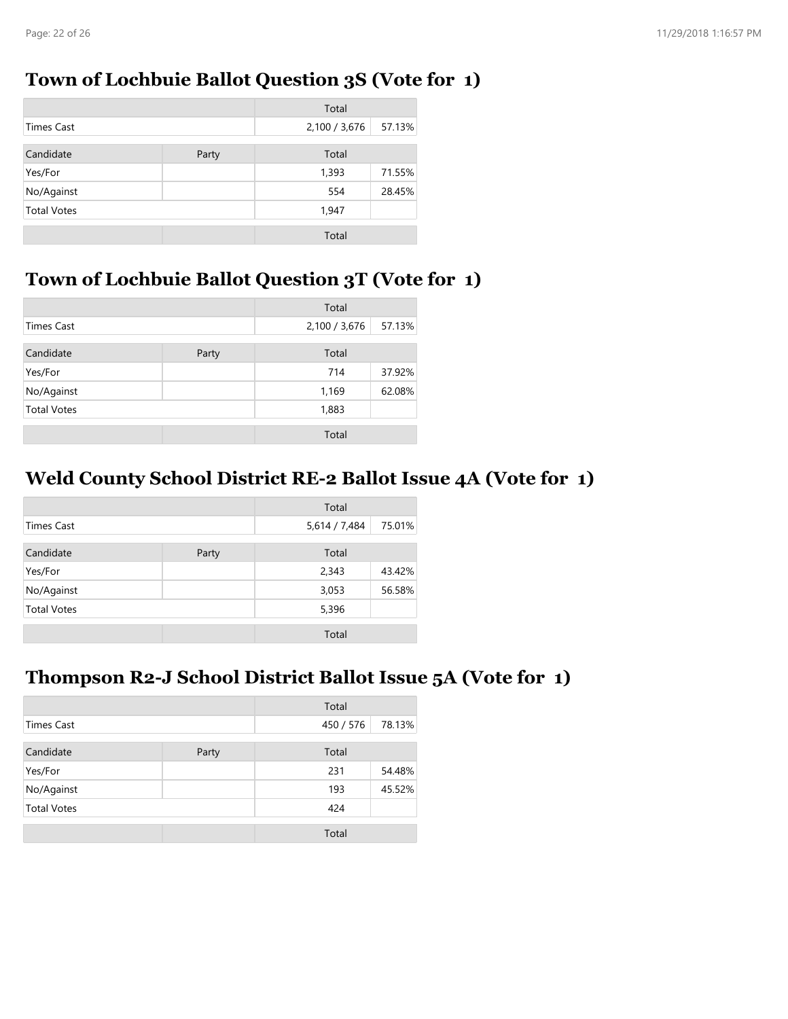#### **Town of Lochbuie Ballot Question 3S (Vote for 1)**

|                    |       | Total         |        |
|--------------------|-------|---------------|--------|
| <b>Times Cast</b>  |       | 2,100 / 3,676 | 57.13% |
| Candidate          | Party | Total         |        |
| Yes/For            |       | 1,393         | 71.55% |
| No/Against         |       | 554           | 28.45% |
| <b>Total Votes</b> |       | 1,947         |        |
|                    |       | Total         |        |

## **Town of Lochbuie Ballot Question 3T (Vote for 1)**

|                    |       | Total         |        |
|--------------------|-------|---------------|--------|
| <b>Times Cast</b>  |       | 2,100 / 3,676 | 57.13% |
| Candidate          | Party | Total         |        |
| Yes/For            |       | 714           | 37.92% |
| No/Against         |       | 1,169         | 62.08% |
| <b>Total Votes</b> |       | 1,883         |        |
|                    |       | Total         |        |

#### **Weld County School District RE-2 Ballot Issue 4A (Vote for 1)**

|                    |       | Total         |        |
|--------------------|-------|---------------|--------|
| <b>Times Cast</b>  |       | 5,614 / 7,484 | 75.01% |
| Candidate          | Party | Total         |        |
| Yes/For            |       | 2,343         | 43.42% |
| No/Against         |       | 3,053         | 56.58% |
| <b>Total Votes</b> |       | 5,396         |        |
|                    |       | Total         |        |

#### **Thompson R2-J School District Ballot Issue 5A (Vote for 1)**

|                    |       | Total     |        |
|--------------------|-------|-----------|--------|
| <b>Times Cast</b>  |       | 450 / 576 | 78.13% |
| Candidate          | Party | Total     |        |
| Yes/For            |       | 231       | 54.48% |
| No/Against         |       | 193       | 45.52% |
| <b>Total Votes</b> |       | 424       |        |
|                    |       | Total     |        |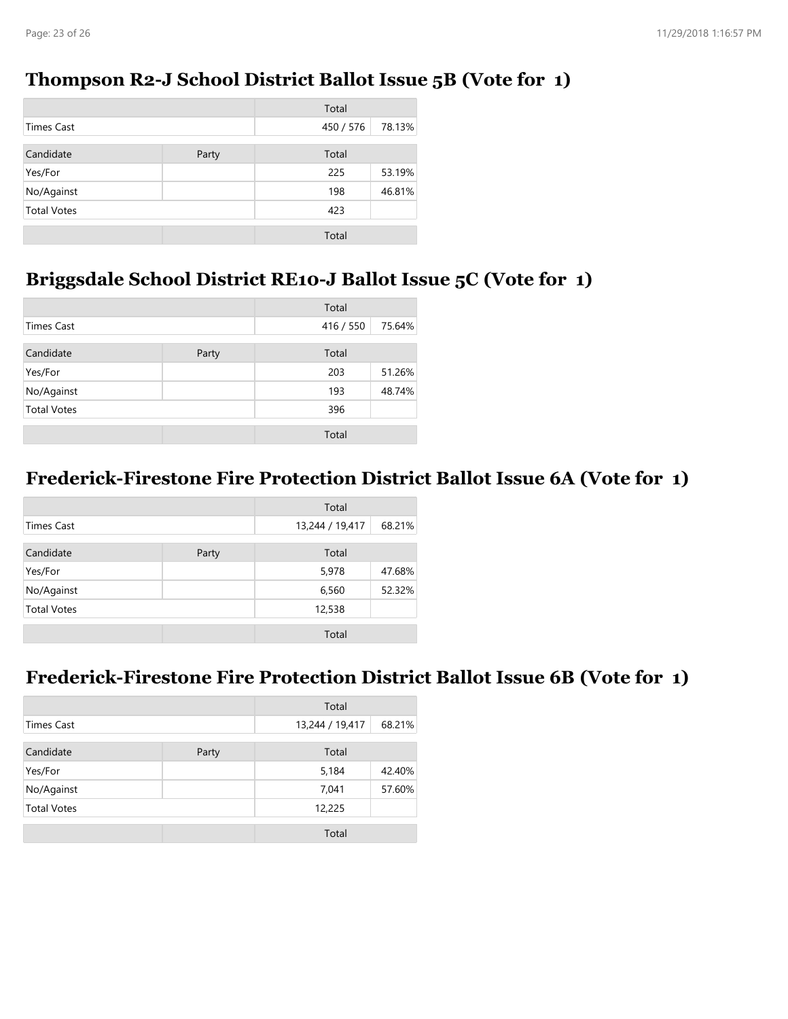#### **Thompson R2-J School District Ballot Issue 5B (Vote for 1)**

|                    |       | Total     |        |
|--------------------|-------|-----------|--------|
| <b>Times Cast</b>  |       | 450 / 576 | 78.13% |
| Candidate          | Party | Total     |        |
| Yes/For            |       | 225       | 53.19% |
| No/Against         |       | 198       | 46.81% |
| <b>Total Votes</b> |       | 423       |        |
|                    |       | Total     |        |

## **Briggsdale School District RE10-J Ballot Issue 5C (Vote for 1)**

|                    |       | Total     |        |
|--------------------|-------|-----------|--------|
| <b>Times Cast</b>  |       | 416 / 550 | 75.64% |
| Candidate          | Party | Total     |        |
| Yes/For            |       | 203       | 51.26% |
| No/Against         |       | 193       | 48.74% |
| <b>Total Votes</b> |       | 396       |        |
|                    |       | Total     |        |

## **Frederick-Firestone Fire Protection District Ballot Issue 6A (Vote for 1)**

|                    |       | Total           |        |
|--------------------|-------|-----------------|--------|
| <b>Times Cast</b>  |       | 13,244 / 19,417 | 68.21% |
| Candidate          | Party | Total           |        |
| Yes/For            |       | 5,978           | 47.68% |
| No/Against         |       | 6,560           | 52.32% |
| <b>Total Votes</b> |       | 12,538          |        |
|                    |       | Total           |        |

#### **Frederick-Firestone Fire Protection District Ballot Issue 6B (Vote for 1)**

|                    |       | Total           |        |
|--------------------|-------|-----------------|--------|
| <b>Times Cast</b>  |       | 13,244 / 19,417 | 68.21% |
| Candidate          | Party | Total           |        |
| Yes/For            |       | 5,184           | 42.40% |
| No/Against         |       | 7,041           | 57.60% |
| <b>Total Votes</b> |       | 12,225          |        |
|                    |       | Total           |        |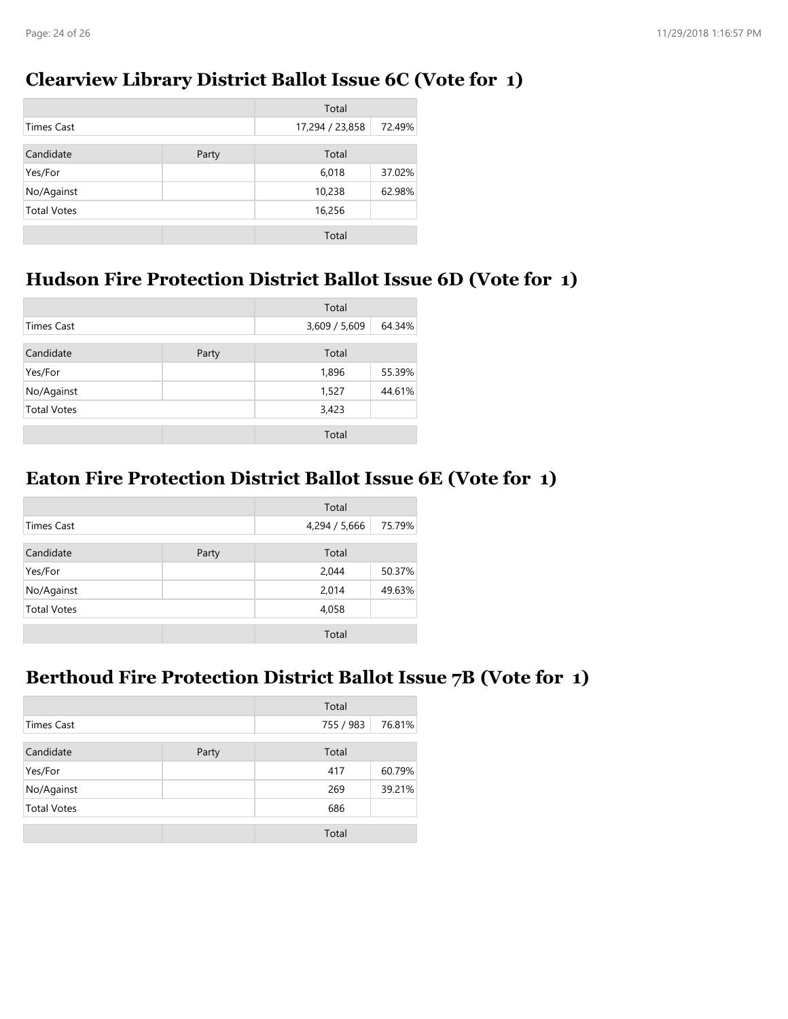#### **Clearview Library District Ballot Issue 6C (Vote for 1)**

|                    |       | Total           |        |
|--------------------|-------|-----------------|--------|
| <b>Times Cast</b>  |       | 17,294 / 23,858 | 72.49% |
| Candidate          | Party | Total           |        |
| Yes/For            |       | 6,018           | 37.02% |
| No/Against         |       | 10,238          | 62.98% |
| <b>Total Votes</b> |       | 16,256          |        |
|                    |       | Total           |        |

### **Hudson Fire Protection District Ballot Issue 6D (Vote for 1)**

|                    |       | Total         |        |
|--------------------|-------|---------------|--------|
| <b>Times Cast</b>  |       | 3,609 / 5,609 | 64.34% |
| Candidate          | Party | Total         |        |
| Yes/For            |       | 1,896         | 55.39% |
| No/Against         |       | 1,527         | 44.61% |
| <b>Total Votes</b> |       | 3,423         |        |
|                    |       | Total         |        |

### **Eaton Fire Protection District Ballot Issue 6E (Vote for 1)**

|                    |       | Total         |        |
|--------------------|-------|---------------|--------|
| <b>Times Cast</b>  |       | 4,294 / 5,666 | 75.79% |
| Candidate          | Party | Total         |        |
| Yes/For            |       | 2,044         | 50.37% |
| No/Against         |       | 2,014         | 49.63% |
| <b>Total Votes</b> |       | 4,058         |        |
|                    |       | Total         |        |

#### **Berthoud Fire Protection District Ballot Issue 7B (Vote for 1)**

|                    |       | Total     |        |
|--------------------|-------|-----------|--------|
| <b>Times Cast</b>  |       | 755 / 983 | 76.81% |
| Candidate          | Party | Total     |        |
| Yes/For            |       | 417       | 60.79% |
| No/Against         |       | 269       | 39.21% |
| <b>Total Votes</b> |       | 686       |        |
|                    |       | Total     |        |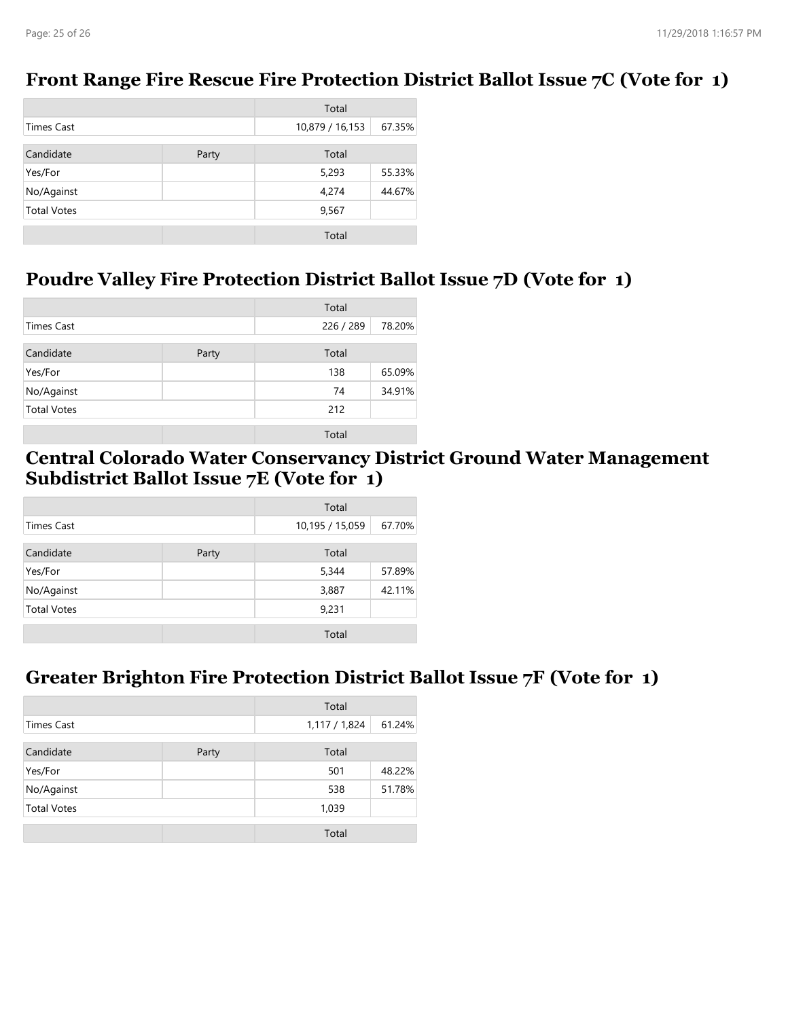#### **Front Range Fire Rescue Fire Protection District Ballot Issue 7C (Vote for 1)**

|                    |       | Total           |        |
|--------------------|-------|-----------------|--------|
| <b>Times Cast</b>  |       | 10,879 / 16,153 | 67.35% |
| Candidate          | Party | Total           |        |
| Yes/For            |       | 5,293           | 55.33% |
| No/Against         |       | 4,274           | 44.67% |
| <b>Total Votes</b> |       | 9,567           |        |
|                    |       | Total           |        |

#### **Poudre Valley Fire Protection District Ballot Issue 7D (Vote for 1)**

|                    |       | Total     |        |
|--------------------|-------|-----------|--------|
| Times Cast         |       | 226 / 289 | 78.20% |
| Candidate          | Party | Total     |        |
| Yes/For            |       | 138       | 65.09% |
| No/Against         |       | 74        | 34.91% |
| <b>Total Votes</b> |       | 212       |        |
|                    |       | Total     |        |

#### **Central Colorado Water Conservancy District Ground Water Management Subdistrict Ballot Issue 7E (Vote for 1)**

|                    |       | Total           |        |
|--------------------|-------|-----------------|--------|
| <b>Times Cast</b>  |       | 10,195 / 15,059 | 67.70% |
| Candidate          | Party | Total           |        |
| Yes/For            |       | 5,344           | 57.89% |
| No/Against         |       | 3,887           | 42.11% |
| <b>Total Votes</b> |       | 9,231           |        |
|                    |       | Total           |        |

#### **Greater Brighton Fire Protection District Ballot Issue 7F (Vote for 1)**

| Total              |       |             |        |
|--------------------|-------|-------------|--------|
| <b>Times Cast</b>  |       | 1,117/1,824 | 61.24% |
| Candidate          | Party | Total       |        |
| Yes/For            |       | 501         | 48.22% |
| No/Against         |       | 538         | 51.78% |
| <b>Total Votes</b> |       | 1,039       |        |
|                    |       | Total       |        |